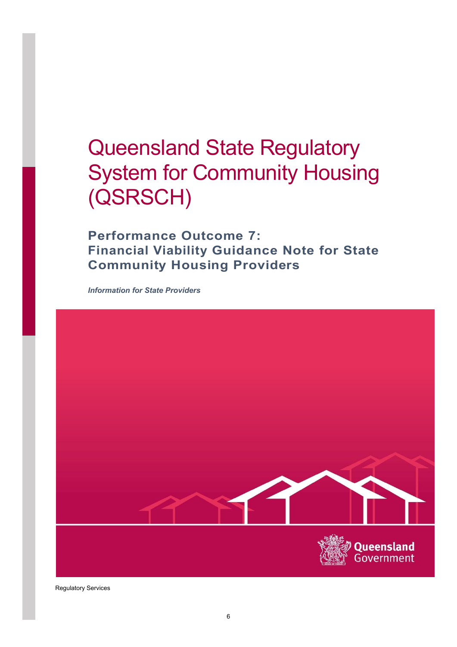# Queensland State Regulatory System for Community Housing (QSRSCH)

Performance Outcome 7: Financial Viability Guidance Note for State Community Housing Providers

Information for State Providers



Regulatory Services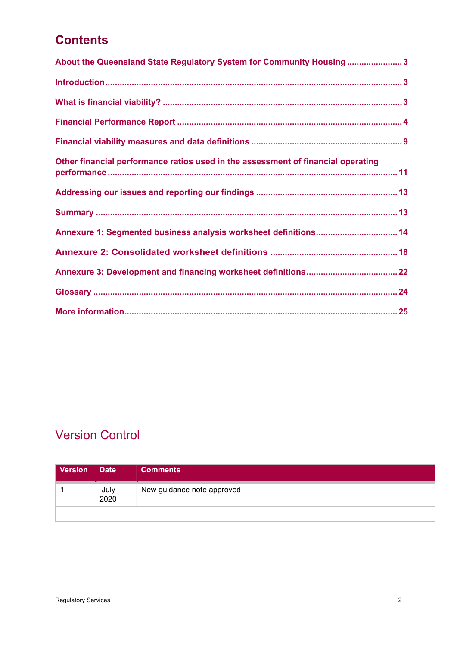### **Contents**

| About the Queensland State Regulatory System for Community Housing3              |
|----------------------------------------------------------------------------------|
|                                                                                  |
|                                                                                  |
|                                                                                  |
|                                                                                  |
| Other financial performance ratios used in the assessment of financial operating |
|                                                                                  |
|                                                                                  |
| Annexure 1: Segmented business analysis worksheet definitions 14                 |
|                                                                                  |
|                                                                                  |
|                                                                                  |
|                                                                                  |

### Version Control

| Version | <b>Date</b>  | <b>Comments</b>            |
|---------|--------------|----------------------------|
|         | July<br>2020 | New guidance note approved |
|         |              |                            |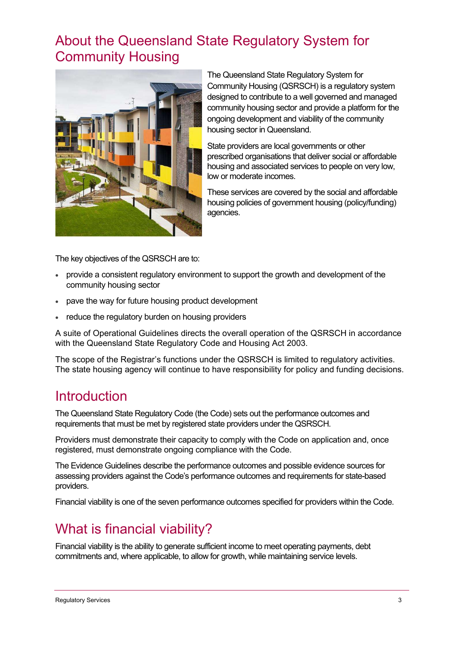## About the Queensland State Regulatory System for Community Housing



The Queensland State Regulatory System for Community Housing (QSRSCH) is a regulatory system designed to contribute to a well governed and managed community housing sector and provide a platform for the ongoing development and viability of the community housing sector in Queensland.

State providers are local governments or other prescribed organisations that deliver social or affordable housing and associated services to people on very low, low or moderate incomes.

These services are covered by the social and affordable housing policies of government housing (policy/funding) agencies.

The key objectives of the QSRSCH are to:

- provide a consistent regulatory environment to support the growth and development of the community housing sector
- pave the way for future housing product development
- reduce the regulatory burden on housing providers

A suite of Operational Guidelines directs the overall operation of the QSRSCH in accordance with the Queensland State Regulatory Code and Housing Act 2003.

The scope of the Registrar's functions under the QSRSCH is limited to regulatory activities. The state housing agency will continue to have responsibility for policy and funding decisions.

### **Introduction**

The Queensland State Regulatory Code (the Code) sets out the performance outcomes and requirements that must be met by registered state providers under the QSRSCH.

Providers must demonstrate their capacity to comply with the Code on application and, once registered, must demonstrate ongoing compliance with the Code.

The Evidence Guidelines describe the performance outcomes and possible evidence sources for assessing providers against the Code's performance outcomes and requirements for state-based providers.

Financial viability is one of the seven performance outcomes specified for providers within the Code.

### What is financial viability?

Financial viability is the ability to generate sufficient income to meet operating payments, debt commitments and, where applicable, to allow for growth, while maintaining service levels.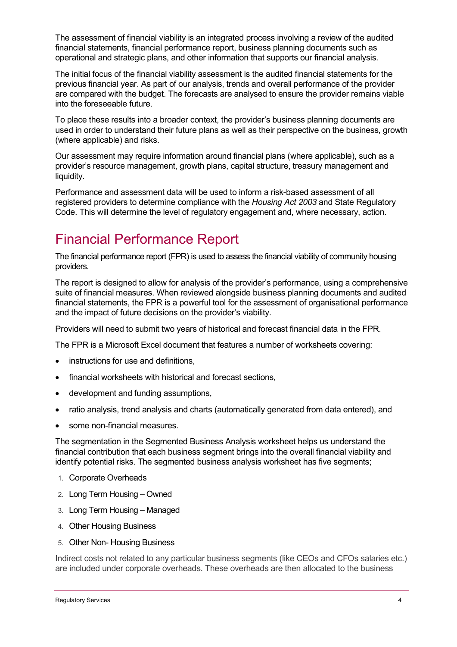The assessment of financial viability is an integrated process involving a review of the audited financial statements, financial performance report, business planning documents such as operational and strategic plans, and other information that supports our financial analysis.

The initial focus of the financial viability assessment is the audited financial statements for the previous financial year. As part of our analysis, trends and overall performance of the provider are compared with the budget. The forecasts are analysed to ensure the provider remains viable into the foreseeable future.

To place these results into a broader context, the provider's business planning documents are used in order to understand their future plans as well as their perspective on the business, growth (where applicable) and risks.

Our assessment may require information around financial plans (where applicable), such as a provider's resource management, growth plans, capital structure, treasury management and liquidity.

Performance and assessment data will be used to inform a risk-based assessment of all registered providers to determine compliance with the Housing Act 2003 and State Regulatory Code. This will determine the level of regulatory engagement and, where necessary, action.

## Financial Performance Report

The financial performance report (FPR) is used to assess the financial viability of community housing providers.

The report is designed to allow for analysis of the provider's performance, using a comprehensive suite of financial measures. When reviewed alongside business planning documents and audited financial statements, the FPR is a powerful tool for the assessment of organisational performance and the impact of future decisions on the provider's viability.

Providers will need to submit two years of historical and forecast financial data in the FPR.

The FPR is a Microsoft Excel document that features a number of worksheets covering:

- instructions for use and definitions,
- financial worksheets with historical and forecast sections,
- development and funding assumptions,
- ratio analysis, trend analysis and charts (automatically generated from data entered), and
- some non-financial measures.

The segmentation in the Segmented Business Analysis worksheet helps us understand the financial contribution that each business segment brings into the overall financial viability and identify potential risks. The segmented business analysis worksheet has five segments;

- 1. Corporate Overheads
- 2. Long Term Housing Owned
- 3. Long Term Housing Managed
- 4. Other Housing Business
- 5. Other Non- Housing Business

Indirect costs not related to any particular business segments (like CEOs and CFOs salaries etc.) are included under corporate overheads. These overheads are then allocated to the business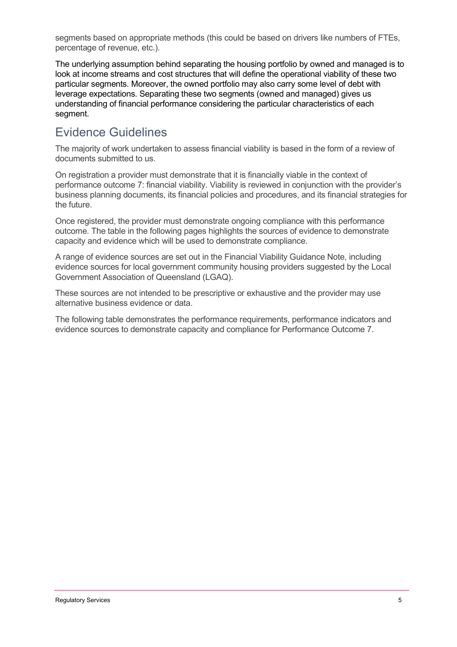segments based on appropriate methods (this could be based on drivers like numbers of FTEs, percentage of revenue, etc.).

The underlying assumption behind separating the housing portfolio by owned and managed is to look at income streams and cost structures that will define the operational viability of these two particular segments. Moreover, the owned portfolio may also carry some level of debt with leverage expectations. Separating these two segments (owned and managed) gives us understanding of financial performance considering the particular characteristics of each segment.

### Evidence Guidelines

The majority of work undertaken to assess financial viability is based in the form of a review of documents submitted to us.

On registration a provider must demonstrate that it is financially viable in the context of performance outcome 7: financial viability. Viability is reviewed in conjunction with the provider's business planning documents, its financial policies and procedures, and its financial strategies for the future.

Once registered, the provider must demonstrate ongoing compliance with this performance outcome. The table in the following pages highlights the sources of evidence to demonstrate capacity and evidence which will be used to demonstrate compliance.

A range of evidence sources are set out in the Financial Viability Guidance Note, including evidence sources for local government community housing providers suggested by the Local Government Association of Queensland (LGAQ).

These sources are not intended to be prescriptive or exhaustive and the provider may use alternative business evidence or data.

The following table demonstrates the performance requirements, performance indicators and evidence sources to demonstrate capacity and compliance for Performance Outcome 7.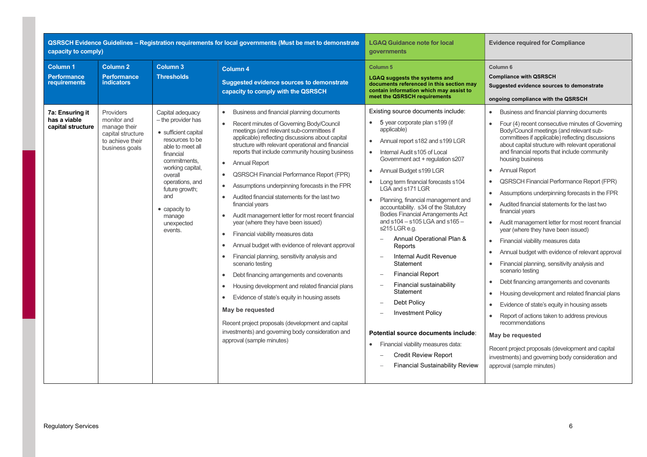| capacity to comply)                                               |                                                                                        |                                                                                                                                                                                                                                               | QSRSCH Evidence Guidelines - Registration requirements for local governments (Must be met to demonstrate                                                                                                                                                                                                                                                                                                                                                                                                                                                                                                                                                                                                                                                                                                                                                                                                                                                                                                                                                                                                                                                                 | <b>LGAQ Guidance note for local</b><br>governments                                                                                                                                                                                                                                                                                                                                                                                                                                                                                                                                                                                                                                                                                                                                                                                                                                                                                    | <b>Evidence required for Compliance</b>                                                                                                                                                                                                                                                                                                                                                                                                                                                                                                                                                                                                                                                                                                                                                                                                                                                                                                                                                                                                                                                                                                                                          |
|-------------------------------------------------------------------|----------------------------------------------------------------------------------------|-----------------------------------------------------------------------------------------------------------------------------------------------------------------------------------------------------------------------------------------------|--------------------------------------------------------------------------------------------------------------------------------------------------------------------------------------------------------------------------------------------------------------------------------------------------------------------------------------------------------------------------------------------------------------------------------------------------------------------------------------------------------------------------------------------------------------------------------------------------------------------------------------------------------------------------------------------------------------------------------------------------------------------------------------------------------------------------------------------------------------------------------------------------------------------------------------------------------------------------------------------------------------------------------------------------------------------------------------------------------------------------------------------------------------------------|---------------------------------------------------------------------------------------------------------------------------------------------------------------------------------------------------------------------------------------------------------------------------------------------------------------------------------------------------------------------------------------------------------------------------------------------------------------------------------------------------------------------------------------------------------------------------------------------------------------------------------------------------------------------------------------------------------------------------------------------------------------------------------------------------------------------------------------------------------------------------------------------------------------------------------------|----------------------------------------------------------------------------------------------------------------------------------------------------------------------------------------------------------------------------------------------------------------------------------------------------------------------------------------------------------------------------------------------------------------------------------------------------------------------------------------------------------------------------------------------------------------------------------------------------------------------------------------------------------------------------------------------------------------------------------------------------------------------------------------------------------------------------------------------------------------------------------------------------------------------------------------------------------------------------------------------------------------------------------------------------------------------------------------------------------------------------------------------------------------------------------|
| <b>Column 1</b><br>Performance<br>requirements<br>7a: Ensuring it | <b>Column 2</b><br><b>Performance</b><br><b>indicators</b><br>Providers                | <b>Column 3</b><br><b>Thresholds</b><br>Capital adequacy                                                                                                                                                                                      | <b>Column 4</b><br><b>Suggested evidence sources to demonstrate</b><br>capacity to comply with the QSRSCH<br>Business and financial planning documents<br>$\bullet$                                                                                                                                                                                                                                                                                                                                                                                                                                                                                                                                                                                                                                                                                                                                                                                                                                                                                                                                                                                                      | Column <sub>5</sub><br><b>LGAQ suggests the systems and</b><br>documents referenced in this section may<br>contain information which may assist to<br>meet the QSRSCH requirements<br>Existing source documents include:                                                                                                                                                                                                                                                                                                                                                                                                                                                                                                                                                                                                                                                                                                              | Column <sub>6</sub><br><b>Compliance with QSRSCH</b><br>Suggested evidence sources to demonstrate<br>ongoing compliance with the QSRSCH<br>Business and financial planning documents<br>$\bullet$                                                                                                                                                                                                                                                                                                                                                                                                                                                                                                                                                                                                                                                                                                                                                                                                                                                                                                                                                                                |
| has a viable<br>capital structure                                 | monitor and<br>manage their<br>capital structure<br>to achieve their<br>business goals | - the provider has<br>• sufficient capital<br>resources to be<br>able to meet all<br>financial<br>commitments,<br>working capital,<br>overall<br>operations, and<br>future growth;<br>and<br>• capacity to<br>manage<br>unexpected<br>events. | Recent minutes of Governing Body/Council<br>$\bullet$<br>meetings (and relevant sub-committees if<br>applicable) reflecting discussions about capital<br>structure with relevant operational and financial<br>reports that include community housing business<br><b>Annual Report</b><br>$\bullet$<br><b>QSRSCH Financial Performance Report (FPR)</b><br>$\bullet$<br>Assumptions underpinning forecasts in the FPR<br>$\bullet$<br>Audited financial statements for the last two<br>$\bullet$<br>financial years<br>Audit management letter for most recent financial<br>$\bullet$<br>year (where they have been issued)<br>Financial viability measures data<br>$\bullet$<br>Annual budget with evidence of relevant approval<br>٠<br>Financial planning, sensitivity analysis and<br>$\bullet$<br>scenario testing<br>Debt financing arrangements and covenants<br>$\bullet$<br>Housing development and related financial plans<br>$\bullet$<br>Evidence of state's equity in housing assets<br>$\bullet$<br>May be requested<br>Recent project proposals (development and capital<br>investments) and governing body consideration and<br>approval (sample minutes) | 5 year corporate plan s199 (if<br>applicable)<br>Annual report s182 and s199 LGR<br>$\bullet$<br>Internal Audit s105 of Local<br>$\bullet$<br>Government act + regulation s207<br>Annual Budget s199 LGR<br>$\bullet$<br>Long term financial forecasts s104<br>$\bullet$<br>LGA and s171 LGR<br>Planning, financial management and<br>$\bullet$<br>accountability. s34 of the Statutory<br><b>Bodies Financial Arrangements Act</b><br>and $s104 - s105$ LGA and $s165 -$<br>s215 LGR e.g.<br>Annual Operational Plan &<br>Reports<br>Internal Audit Revenue<br>$\equiv$<br>Statement<br><b>Financial Report</b><br>$\overline{\phantom{0}}$<br>Financial sustainability<br>$\equiv$<br>Statement<br>Debt Policy<br><b>Investment Policy</b><br>$\frac{1}{2}$<br>Potential source documents include:<br>Financial viability measures data:<br>$\bullet$<br>Credit Review Report<br>$\equiv$<br><b>Financial Sustainability Review</b> | Four (4) recent consecutive minutes of Governing<br>Body/Council meetings (and relevant sub-<br>committees if applicable) reflecting discussions<br>about capital structure with relevant operational<br>and financial reports that include community<br>housing business<br><b>Annual Report</b><br>$\bullet$<br><b>QSRSCH Financial Performance Report (FPR)</b><br>$\bullet$<br>Assumptions underpinning forecasts in the FPR<br>Audited financial statements for the last two<br>financial years<br>Audit management letter for most recent financial<br>year (where they have been issued)<br>Financial viability measures data<br>$\bullet$<br>Annual budget with evidence of relevant approval<br>$\bullet$<br>Financial planning, sensitivity analysis and<br>scenario testing<br>Debt financing arrangements and covenants<br>Housing development and related financial plans<br>Evidence of state's equity in housing assets<br>Report of actions taken to address previous<br>$\bullet$<br>recommendations<br>May be requested<br>Recent project proposals (development and capital<br>investments) and governing body consideration and<br>approval (sample minutes) |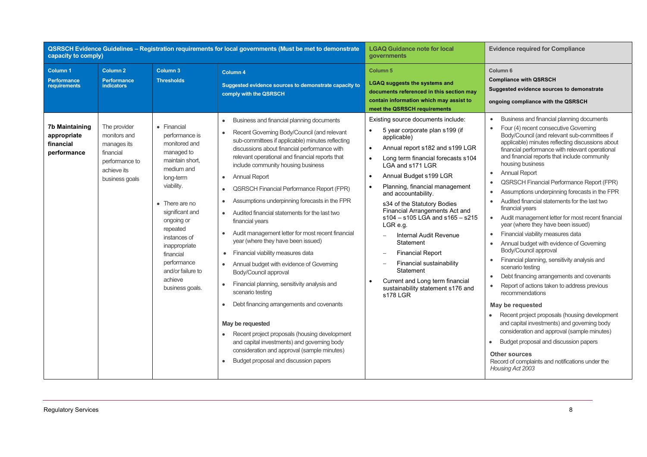| capacity to comply)                                       |                                                                                                             |                                                                                                                                                                                                                                                                                                         | QSRSCH Evidence Guidelines - Registration requirements for local governments (Must be met to demonstrate                                                                                                                                                                                                                                                                                                                                                                                                                                                                                                                                                                                                                                                                                                                                                                                                                                                                                                                                                                                   | <b>LGAQ Guidance note for local</b><br>governments                                                                                                                                                                                                                                                                                                                                                                                                                                                                                                                                                                                                        | <b>Evidence required for Compliance</b>                                                                                                                                                                                                                                                                                                                                                                                                                                                                                                                                                                                                                                                                                                                                                                                                                                                                                                                                                                                                                                                                                                                                                                                                                                                  |  |
|-----------------------------------------------------------|-------------------------------------------------------------------------------------------------------------|---------------------------------------------------------------------------------------------------------------------------------------------------------------------------------------------------------------------------------------------------------------------------------------------------------|--------------------------------------------------------------------------------------------------------------------------------------------------------------------------------------------------------------------------------------------------------------------------------------------------------------------------------------------------------------------------------------------------------------------------------------------------------------------------------------------------------------------------------------------------------------------------------------------------------------------------------------------------------------------------------------------------------------------------------------------------------------------------------------------------------------------------------------------------------------------------------------------------------------------------------------------------------------------------------------------------------------------------------------------------------------------------------------------|-----------------------------------------------------------------------------------------------------------------------------------------------------------------------------------------------------------------------------------------------------------------------------------------------------------------------------------------------------------------------------------------------------------------------------------------------------------------------------------------------------------------------------------------------------------------------------------------------------------------------------------------------------------|------------------------------------------------------------------------------------------------------------------------------------------------------------------------------------------------------------------------------------------------------------------------------------------------------------------------------------------------------------------------------------------------------------------------------------------------------------------------------------------------------------------------------------------------------------------------------------------------------------------------------------------------------------------------------------------------------------------------------------------------------------------------------------------------------------------------------------------------------------------------------------------------------------------------------------------------------------------------------------------------------------------------------------------------------------------------------------------------------------------------------------------------------------------------------------------------------------------------------------------------------------------------------------------|--|
| Column 1<br><b>Performance</b><br>requirements            | Column <sub>2</sub><br><b>Performance</b><br><b>indicators</b>                                              | Column 3<br><b>Thresholds</b>                                                                                                                                                                                                                                                                           | Column 4<br>Suggested evidence sources to demonstrate capacity to<br>comply with the QSRSCH                                                                                                                                                                                                                                                                                                                                                                                                                                                                                                                                                                                                                                                                                                                                                                                                                                                                                                                                                                                                | Column <sub>5</sub><br><b>LGAQ suggests the systems and</b><br>documents referenced in this section may<br>contain information which may assist to<br>meet the QSRSCH requirements                                                                                                                                                                                                                                                                                                                                                                                                                                                                        | Column <sub>6</sub><br><b>Compliance with QSRSCH</b><br>Suggested evidence sources to demonstrate<br>ongoing compliance with the QSRSCH                                                                                                                                                                                                                                                                                                                                                                                                                                                                                                                                                                                                                                                                                                                                                                                                                                                                                                                                                                                                                                                                                                                                                  |  |
| 7b Maintaining<br>appropriate<br>financial<br>performance | The provider<br>monitors and<br>manages its<br>financial<br>performance to<br>achieve its<br>business goals | • Financial<br>performance is<br>monitored and<br>managed to<br>maintain short.<br>medium and<br>long-term<br>viability.<br>• There are no<br>significant and<br>ongoing or<br>repeated<br>instances of<br>inappropriate<br>financial<br>performance<br>and/or failure to<br>achieve<br>business goals. | Business and financial planning documents<br>$\bullet$<br>Recent Governing Body/Council (and relevant<br>sub-committees if applicable) minutes reflecting<br>discussions about financial performance with<br>relevant operational and financial reports that<br>include community housing business<br><b>Annual Report</b><br>٠<br><b>QSRSCH Financial Performance Report (FPR)</b><br>٠<br>Assumptions underpinning forecasts in the FPR<br>٠<br>Audited financial statements for the last two<br>$\bullet$<br>financial years<br>Audit management letter for most recent financial<br>٠<br>year (where they have been issued)<br>• Financial viability measures data<br>Annual budget with evidence of Governing<br>Body/Council approval<br>Financial planning, sensitivity analysis and<br>٠<br>scenario testing<br>Debt financing arrangements and covenants<br>May be requested<br>Recent project proposals (housing development<br>and capital investments) and governing body<br>consideration and approval (sample minutes)<br>Budget proposal and discussion papers<br>$\bullet$ | Existing source documents include:<br>5 year corporate plan s199 (if<br>applicable)<br>Annual report s182 and s199 LGR<br>$\bullet$<br>Long term financial forecasts s104<br>$\bullet$<br>LGA and s171 LGR<br>Annual Budget s199 LGR<br>$\bullet$<br>Planning, financial management<br>$\bullet$<br>and accountability.<br>s34 of the Statutory Bodies<br>Financial Arrangements Act and<br>s104 - s105 LGA and s165 - s215<br>LGR e.g.<br><b>Internal Audit Revenue</b><br>$\equiv$<br>Statement<br><b>Financial Report</b><br>Financial sustainability<br>Statement<br>Current and Long term financial<br>sustainability statement s176 and<br>s178 LGR | Business and financial planning documents<br>$\bullet$<br>Four (4) recent consecutive Governing<br>Body/Council (and relevant sub-committees if<br>applicable) minutes reflecting discussions about<br>financial performance with relevant operational<br>and financial reports that include community<br>housing business<br><b>Annual Report</b><br>$\bullet$<br><b>QSRSCH Financial Performance Report (FPR)</b><br>Assumptions underpinning forecasts in the FPR<br>Audited financial statements for the last two<br>financial years<br>Audit management letter for most recent financial<br>year (where they have been issued)<br>Financial viability measures data<br>$\bullet$<br>Annual budget with evidence of Governing<br>$\bullet$<br>Body/Council approval<br>Financial planning, sensitivity analysis and<br>scenario testing<br>Debt financing arrangements and covenants<br>$\bullet$<br>Report of actions taken to address previous<br>recommendations<br>May be requested<br>Recent project proposals (housing development<br>and capital investments) and governing body<br>consideration and approval (sample minutes)<br>Budget proposal and discussion papers<br>٠<br><b>Other sources</b><br>Record of complaints and notifications under the<br>Housing Act 2003 |  |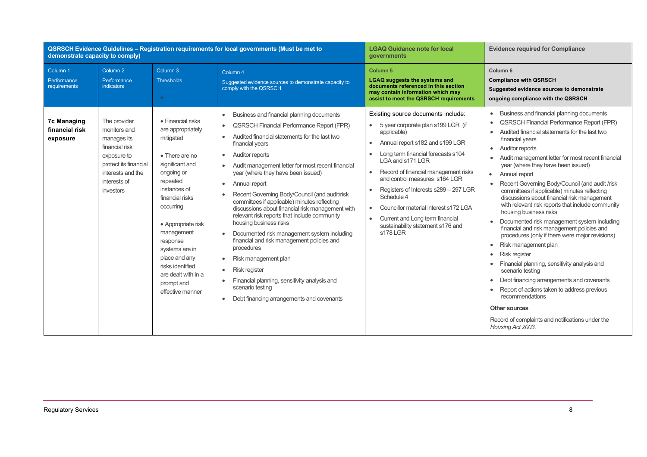| <b>QSRSCH Evidence Guidelines - Registration requirements for local governments (Must be met to</b><br>demonstrate capacity to comply) |                                                                                                                                                         |                                                                                                                                                                                                                                                                                                                                    |                                                                                                                                                                                                                                                                                                                                                                                                                                                                                                                                                                                                                                                                                                                                                                                                                                                                                                                                                                   | <b>LGAQ Guidance note for local</b><br>governments                                                                                                                                                                                                                                                                                                                                                                                                                           | <b>Evidence required for Compliance</b>                                                                                                                                                                                                                                                                                                                                                                                                                                                                                                                                                                                                                                                                                                                                                                                                                                                                                                                                                                                                                                                                                                                                                       |
|----------------------------------------------------------------------------------------------------------------------------------------|---------------------------------------------------------------------------------------------------------------------------------------------------------|------------------------------------------------------------------------------------------------------------------------------------------------------------------------------------------------------------------------------------------------------------------------------------------------------------------------------------|-------------------------------------------------------------------------------------------------------------------------------------------------------------------------------------------------------------------------------------------------------------------------------------------------------------------------------------------------------------------------------------------------------------------------------------------------------------------------------------------------------------------------------------------------------------------------------------------------------------------------------------------------------------------------------------------------------------------------------------------------------------------------------------------------------------------------------------------------------------------------------------------------------------------------------------------------------------------|------------------------------------------------------------------------------------------------------------------------------------------------------------------------------------------------------------------------------------------------------------------------------------------------------------------------------------------------------------------------------------------------------------------------------------------------------------------------------|-----------------------------------------------------------------------------------------------------------------------------------------------------------------------------------------------------------------------------------------------------------------------------------------------------------------------------------------------------------------------------------------------------------------------------------------------------------------------------------------------------------------------------------------------------------------------------------------------------------------------------------------------------------------------------------------------------------------------------------------------------------------------------------------------------------------------------------------------------------------------------------------------------------------------------------------------------------------------------------------------------------------------------------------------------------------------------------------------------------------------------------------------------------------------------------------------|
| Column <sub>1</sub><br>Performance<br>requirements                                                                                     | Column <sub>2</sub><br>Performance<br>indicators                                                                                                        | Column 3<br><b>Thresholds</b><br>$\bullet$                                                                                                                                                                                                                                                                                         | Column <sub>4</sub><br>Suggested evidence sources to demonstrate capacity to<br>comply with the QSRSCH                                                                                                                                                                                                                                                                                                                                                                                                                                                                                                                                                                                                                                                                                                                                                                                                                                                            | Column <sub>5</sub><br><b>LGAQ suggests the systems and</b><br>documents referenced in this section<br>may contain information which may<br>assist to meet the QSRSCH requirements                                                                                                                                                                                                                                                                                           | Column <sub>6</sub><br><b>Compliance with QSRSCH</b><br>Suggested evidence sources to demonstrate<br>ongoing compliance with the QSRSCH                                                                                                                                                                                                                                                                                                                                                                                                                                                                                                                                                                                                                                                                                                                                                                                                                                                                                                                                                                                                                                                       |
| <b>7c Managing</b><br>financial risk<br>exposure                                                                                       | The provider<br>monitors and<br>manages its<br>financial risk<br>exposure to<br>protect its financial<br>interests and the<br>interests of<br>investors | • Financial risks<br>are appropriately<br>mitigated<br>• There are no<br>significant and<br>ongoing or<br>repeated<br>instances of<br>financial risks<br>occurring<br>• Appropriate risk<br>management<br>response<br>systems are in<br>place and any<br>risks identified<br>are dealt with in a<br>prompt and<br>effective manner | Business and financial planning documents<br>$\bullet$<br><b>QSRSCH Financial Performance Report (FPR)</b><br>$\bullet$<br>Audited financial statements for the last two<br>$\bullet$<br>financial years<br><b>Auditor reports</b><br>$\bullet$<br>Audit management letter for most recent financial<br>$\bullet$<br>year (where they have been issued)<br>Annual report<br>$\bullet$<br>Recent Governing Body/Council (and audit/risk<br>$\bullet$<br>committees if applicable) minutes reflecting<br>discussions about financial risk management with<br>relevant risk reports that include community<br>housing business risks<br>Documented risk management system including<br>$\bullet$<br>financial and risk management policies and<br>procedures<br>Risk management plan<br>$\bullet$<br><b>Risk register</b><br>$\bullet$<br>Financial planning, sensitivity analysis and<br>scenario testing<br>Debt financing arrangements and covenants<br>$\bullet$ | Existing source documents include:<br>5 year corporate plan s199 LGR (if<br>applicable)<br>Annual report s182 and s199 LGR<br>Long term financial forecasts s104<br>LGA and s171 LGR<br>Record of financial management risks<br>and control measures s164 LGR<br>Registers of Interests s289 - 297 LGR<br>Schedule 4<br>Councillor material interest s172 LGA<br>$\bullet$<br>Current and Long term financial<br>$\bullet$<br>sustainability statement s176 and<br>s178   GR | Business and financial planning documents<br>$\bullet$<br><b>QSRSCH Financial Performance Report (FPR)</b><br>$\bullet$<br>Audited financial statements for the last two<br>$\bullet$<br>financial years<br><b>Auditor reports</b><br>$\bullet$<br>Audit management letter for most recent financial<br>$\bullet$<br>year (where they have been issued)<br>Annual report<br>$\bullet$<br>Recent Governing Body/Council (and audit /risk<br>$\bullet$<br>committees if applicable) minutes reflecting<br>discussions about financial risk management<br>with relevant risk reports that include community<br>housing business risks<br>Documented risk management system including<br>$\bullet$<br>financial and risk management policies and<br>procedures (only if there were major revisions)<br>Risk management plan<br>$\bullet$<br>Risk register<br>$\bullet$<br>Financial planning, sensitivity analysis and<br>$\bullet$<br>scenario testing<br>Debt financing arrangements and covenants<br>$\bullet$<br>Report of actions taken to address previous<br>$\bullet$<br>recommendations<br><b>Other sources</b><br>Record of complaints and notifications under the<br>Housing Act 2003. |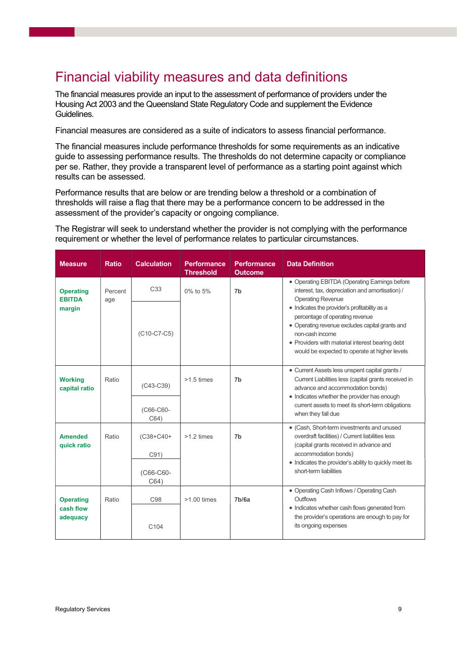## Financial viability measures and data definitions

The financial measures provide an input to the assessment of performance of providers under the Housing Act 2003 and the Queensland State Regulatory Code and supplement the Evidence Guidelines.

Financial measures are considered as a suite of indicators to assess financial performance.

The financial measures include performance thresholds for some requirements as an indicative guide to assessing performance results. The thresholds do not determine capacity or compliance per se. Rather, they provide a transparent level of performance as a starting point against which results can be assessed.

Performance results that are below or are trending below a threshold or a combination of thresholds will raise a flag that there may be a performance concern to be addressed in the assessment of the provider's capacity or ongoing compliance.

The Registrar will seek to understand whether the provider is not complying with the performance requirement or whether the level of performance relates to particular circumstances.

| • Operating EBITDA (Operating Earnings before<br>interest, tax, depreciation and amortisation) /                                                                                                     |
|------------------------------------------------------------------------------------------------------------------------------------------------------------------------------------------------------|
| • Indicates the provider's profitability as a<br>• Operating revenue excludes capital grants and<br>• Providers with material interest bearing debt<br>would be expected to operate at higher levels |
| • Current Assets less unspent capital grants /<br>Current Liabilities less (capital grants received in<br>advance and accommodation bonds)<br>• Indicates whether the provider has enough            |
| current assets to meet its short-term obligations                                                                                                                                                    |
| • (Cash, Short-term investments and unused<br>overdraft facilities) / Current liabilities less<br>(capital grants received in advance and                                                            |
| • Indicates the provider's ability to quickly meet its                                                                                                                                               |
| • Operating Cash Inflows / Operating Cash<br>• Indicates whether cash flows generated from<br>the provider's operations are enough to pay for                                                        |
|                                                                                                                                                                                                      |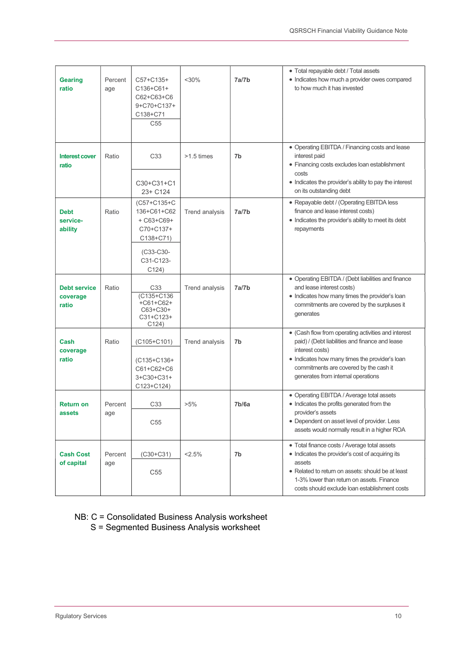| <b>Gearing</b><br>ratio                  | Percent<br>age | $C57 + C135 +$<br>$C136 + C61 +$<br>C62+C63+C6<br>9+C70+C137+<br>C138+C71<br>C <sub>55</sub>                  | $<$ 30%        | 7a/7b              | • Total repayable debt / Total assets<br>• Indicates how much a provider owes compared<br>to how much it has invested                                                                                                                                         |
|------------------------------------------|----------------|---------------------------------------------------------------------------------------------------------------|----------------|--------------------|---------------------------------------------------------------------------------------------------------------------------------------------------------------------------------------------------------------------------------------------------------------|
| <b>Interest cover</b><br>ratio           | Ratio          | C33<br>C30+C31+C1<br>23+ C124                                                                                 | $>1.5$ times   | 7b                 | • Operating EBITDA / Financing costs and lease<br>interest paid<br>• Financing costs excludes loan establishment<br>costs<br>• Indicates the provider's ability to pay the interest<br>on its outstanding debt                                                |
| <b>Debt</b><br>service-<br>ability       | Ratio          | (C57+C135+C<br>136+C61+C62<br>$+ C63 + C69 +$<br>C70+C137+<br>$C138 + C71$<br>(C33-C30-<br>C31-C123-<br>C124) | Trend analysis | 7a/7b              | • Repayable debt / (Operating EBITDA less<br>finance and lease interest costs)<br>• Indicates the provider's ability to meet its debt<br>repayments                                                                                                           |
| <b>Debt service</b><br>coverage<br>ratio | Ratio          | C <sub>33</sub><br>(C135+C136<br>$+C61+C62+$<br>C63+C30+<br>C31+C123+<br>C124)                                | Trend analysis | 7a/7b              | • Operating EBITDA / (Debt liabilities and finance<br>and lease interest costs)<br>• Indicates how many times the provider's loan<br>commitments are covered by the surpluses it<br>generates                                                                 |
| Cash<br>coverage<br>ratio                | Ratio          | $(C105+C101)$<br>$(C135+C136+$<br>C61+C62+C6<br>$3 + C30 + C31 +$<br>$C123 + C124$                            | Trend analysis | 7b                 | • (Cash flow from operating activities and interest<br>paid) / (Debt liabilities and finance and lease<br>interest costs)<br>• Indicates how many times the provider's loan<br>commitments are covered by the cash it<br>generates from internal operations   |
| <b>Return on</b><br>assets               | Percent<br>age | C33<br>C <sub>55</sub>                                                                                        | $>5\%$         | 7 <sub>b</sub> /6a | • Operating EBITDA / Average total assets<br>• Indicates the profits generated from the<br>provider's assets<br>• Dependent on asset level of provider. Less<br>assets would normally result in a higher ROA                                                  |
| <b>Cash Cost</b><br>of capital           | Percent<br>age | (C30+C31)<br>C <sub>55</sub>                                                                                  | 2.5%           | 7b                 | • Total finance costs / Average total assets<br>• Indicates the provider's cost of acquiring its<br>assets<br>• Related to return on assets: should be at least<br>1-3% lower than return on assets. Finance<br>costs should exclude loan establishment costs |

NB: C = Consolidated Business Analysis worksheet S = Segmented Business Analysis worksheet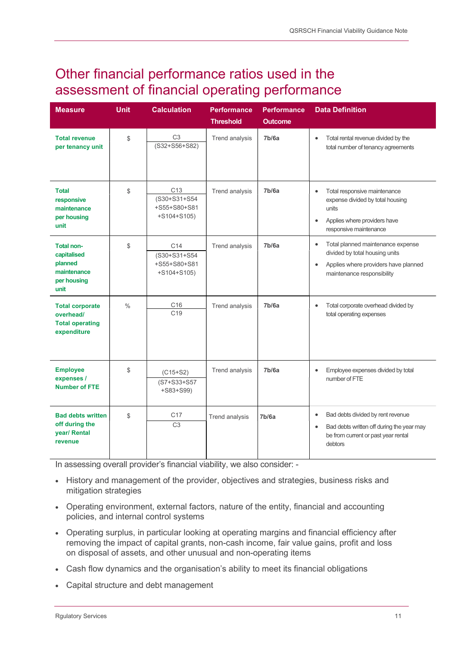### Other financial performance ratios used in the assessment of financial operating performance

| <b>Measure</b>                                                                    | <b>Unit</b>   | <b>Calculation</b>                                                | <b>Performance</b><br><b>Threshold</b> | <b>Performance</b><br><b>Outcome</b> | <b>Data Definition</b>                                                                                                                                              |
|-----------------------------------------------------------------------------------|---------------|-------------------------------------------------------------------|----------------------------------------|--------------------------------------|---------------------------------------------------------------------------------------------------------------------------------------------------------------------|
| <b>Total revenue</b><br>per tenancy unit                                          | \$            | C <sub>3</sub><br>$(S32+S56+S82)$                                 | <b>Trend analysis</b>                  | 7b/6a                                | Total rental revenue divided by the<br>$\bullet$<br>total number of tenancy agreements                                                                              |
| <b>Total</b><br>responsive<br>maintenance<br>per housing<br>unit                  | \$            | C <sub>13</sub><br>(S30+S31+S54<br>+S55+S80+S81<br>$+S104 + S105$ | Trend analysis                         | 7 <sub>b</sub> /6a                   | Total responsive maintenance<br>$\bullet$<br>expense divided by total housing<br>units<br>Applies where providers have<br>$\bullet$<br>responsive maintenance       |
| <b>Total non-</b><br>capitalised<br>planned<br>maintenance<br>per housing<br>unit | \$            | C <sub>14</sub><br>(S30+S31+S54<br>+S55+S80+S81<br>$+S104 + S105$ | <b>Trend analysis</b>                  | 7 <sub>b</sub> /6a                   | Total planned maintenance expense<br>$\bullet$<br>divided by total housing units<br>Applies where providers have planned<br>$\bullet$<br>maintenance responsibility |
| <b>Total corporate</b><br>overhead/<br><b>Total operating</b><br>expenditure      | $\frac{0}{0}$ | C16<br>C <sub>19</sub>                                            | <b>Trend analysis</b>                  | 7b/6a                                | Total corporate overhead divided by<br>$\bullet$<br>total operating expenses                                                                                        |
| <b>Employee</b><br>expenses /<br><b>Number of FTE</b>                             | \$            | $(C15+S2)$<br>(S7+S33+S57<br>+S83+S99)                            | Trend analysis                         | 7b/6a                                | Employee expenses divided by total<br>$\bullet$<br>number of FTE                                                                                                    |
| <b>Bad debts written</b><br>off during the<br>year/ Rental<br>revenue             | \$            | C17<br>C <sub>3</sub>                                             | <b>Trend analysis</b>                  | 7 <sub>b</sub> /6a                   | Bad debts divided by rent revenue<br>$\bullet$<br>Bad debts written off during the year may<br>$\bullet$<br>be from current or past year rental<br>debtors          |

In assessing overall provider's financial viability, we also consider: -

- History and management of the provider, objectives and strategies, business risks and mitigation strategies
- Operating environment, external factors, nature of the entity, financial and accounting policies, and internal control systems
- Operating surplus, in particular looking at operating margins and financial efficiency after removing the impact of capital grants, non-cash income, fair value gains, profit and loss on disposal of assets, and other unusual and non-operating items
- Cash flow dynamics and the organisation's ability to meet its financial obligations
- Capital structure and debt management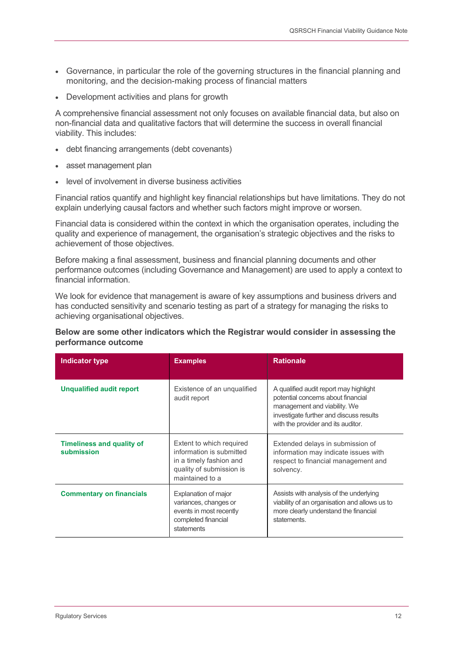- Governance, in particular the role of the governing structures in the financial planning and monitoring, and the decision-making process of financial matters
- Development activities and plans for growth

A comprehensive financial assessment not only focuses on available financial data, but also on non-financial data and qualitative factors that will determine the success in overall financial viability. This includes:

- debt financing arrangements (debt covenants)
- asset management plan
- level of involvement in diverse business activities

Financial ratios quantify and highlight key financial relationships but have limitations. They do not explain underlying causal factors and whether such factors might improve or worsen.

Financial data is considered within the context in which the organisation operates, including the quality and experience of management, the organisation's strategic objectives and the risks to achievement of those objectives.

Before making a final assessment, business and financial planning documents and other performance outcomes (including Governance and Management) are used to apply a context to financial information.

We look for evidence that management is aware of key assumptions and business drivers and has conducted sensitivity and scenario testing as part of a strategy for managing the risks to achieving organisational objectives.

### Below are some other indicators which the Registrar would consider in assessing the performance outcome

| <b>Indicator type</b>                          | <b>Examples</b>                                                                                                                | <b>Rationale</b>                                                                                                                                                                              |
|------------------------------------------------|--------------------------------------------------------------------------------------------------------------------------------|-----------------------------------------------------------------------------------------------------------------------------------------------------------------------------------------------|
| <b>Unqualified audit report</b>                | Existence of an unqualified<br>audit report                                                                                    | A qualified audit report may highlight<br>potential concerns about financial<br>management and viability. We<br>investigate further and discuss results<br>with the provider and its auditor. |
| <b>Timeliness and quality of</b><br>submission | Extent to which required<br>information is submitted<br>in a timely fashion and<br>quality of submission is<br>maintained to a | Extended delays in submission of<br>information may indicate issues with<br>respect to financial management and<br>solvency.                                                                  |
| <b>Commentary on financials</b>                | Explanation of major<br>variances, changes or<br>events in most recently<br>completed financial<br>statements                  | Assists with analysis of the underlying<br>viability of an organisation and allows us to<br>more clearly understand the financial<br>statements.                                              |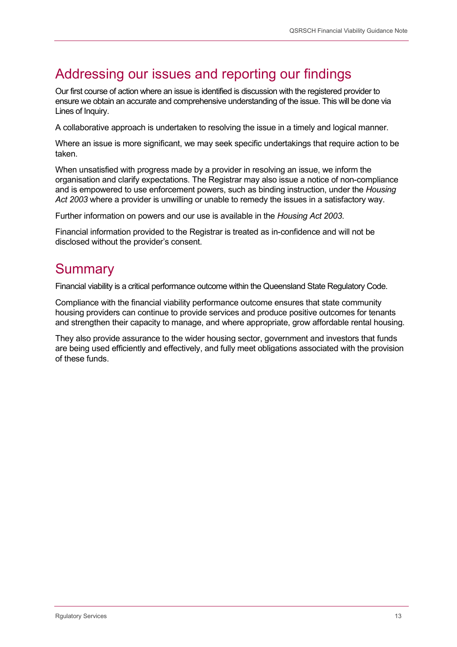## Addressing our issues and reporting our findings

Our first course of action where an issue is identified is discussion with the registered provider to ensure we obtain an accurate and comprehensive understanding of the issue. This will be done via Lines of Inquiry.

A collaborative approach is undertaken to resolving the issue in a timely and logical manner.

Where an issue is more significant, we may seek specific undertakings that require action to be taken.

When unsatisfied with progress made by a provider in resolving an issue, we inform the organisation and clarify expectations. The Registrar may also issue a notice of non-compliance and is empowered to use enforcement powers, such as binding instruction, under the Housing Act 2003 where a provider is unwilling or unable to remedy the issues in a satisfactory way.

Further information on powers and our use is available in the Housing Act 2003.

Financial information provided to the Registrar is treated as in-confidence and will not be disclosed without the provider's consent.

### **Summary**

Financial viability is a critical performance outcome within the Queensland State Regulatory Code.

Compliance with the financial viability performance outcome ensures that state community housing providers can continue to provide services and produce positive outcomes for tenants and strengthen their capacity to manage, and where appropriate, grow affordable rental housing.

They also provide assurance to the wider housing sector, government and investors that funds are being used efficiently and effectively, and fully meet obligations associated with the provision of these funds.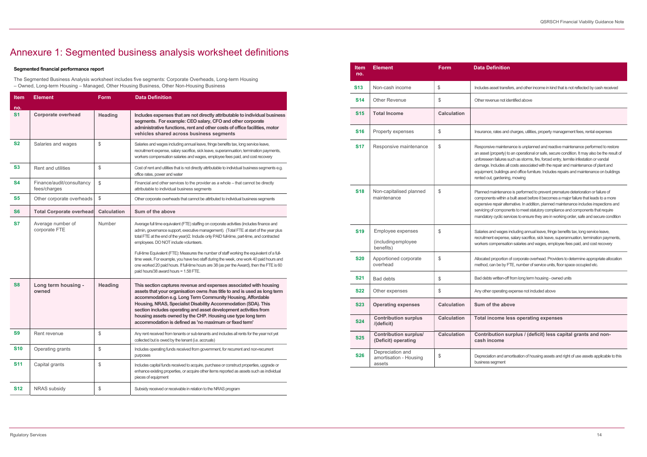### **efinition**

s asset transfers, and other income in kind that is not reflected by cash received

venue not identified above

ce, rates and charges, utilities, property management fees, rental expenses

sive maintenance is unplanned and reactive maintenance performed to restore t (property) to an operational or safe, secure condition. It may also be the result of een failures such as storms, fire, forced entry, termite infestation or vandal . Includes all costs associated with the repair and maintenance of plant and ent, buildings and office furniture. Includes repairs and maintenance on buildings ut, gardening, mowing

I maintenance is performed to prevent premature deterioration or failure of ents within a built asset before it becomes a major failure that leads to a more ve repair alternative. In addition, planned maintenance includes inspections and g of components to meet statutory compliance and components that require ory cyclic services to ensure they are in working order, safe and secure condition

and wages including annual leave, fringe benefits tax, long service leave, ent expense, salary sacrifice, sick leave, superannuation, termination payments, compensation salaries and wages, employee fees paid, and cost recovery

d proportion of corporate overhead. Providers to determine appropriate allocation can be by FTE, number of service units, floor space occupied etc.

ots written-off from long term housing - owned units

er operating expense not included above

#### of the above

#### income less operating expenses

#### ibution surplus / (deficit) less capital grants and nonncome

ation and amortisation of housing assets and right of use assets applicable to this s segment

#### Segmented financial performance report

The Segmented Business Analysis worksheet includes five segments: Corporate Overheads, Long-term Housing – Owned, Long-term Housing – Managed, Other Housing Business, Other Non-Housing Business

| <b>Item</b>    | <b>Element</b>                            | <b>Form</b>        | <b>Data Definition</b>                                                                                                                                                                                                                                                                                                                                                                                                                                                                                                                                                                                                                                     |
|----------------|-------------------------------------------|--------------------|------------------------------------------------------------------------------------------------------------------------------------------------------------------------------------------------------------------------------------------------------------------------------------------------------------------------------------------------------------------------------------------------------------------------------------------------------------------------------------------------------------------------------------------------------------------------------------------------------------------------------------------------------------|
| no.            |                                           |                    |                                                                                                                                                                                                                                                                                                                                                                                                                                                                                                                                                                                                                                                            |
| S <sub>1</sub> | Corporate overhead                        | <b>Heading</b>     | Includes expenses that are not directly attributable to individual business<br>segments. For example: CEO salary, CFO and other corporate<br>administrative functions, rent and other costs of office facilities, motor<br>vehicles shared across business segments                                                                                                                                                                                                                                                                                                                                                                                        |
| S <sub>2</sub> | Salaries and wages                        | \$                 | Salaries and wages including annual leave, fringe benefits tax, long service leave,<br>recruitment expense, salary sacrifice, sick leave, superannuation, termination payments,<br>workers compensation salaries and wages, employee fees paid, and cost recovery                                                                                                                                                                                                                                                                                                                                                                                          |
| <b>S3</b>      | Rent and utilities                        | \$                 | Cost of rent and utilities that is not directly attributable to individual business segments e.g.<br>office rates, power and water                                                                                                                                                                                                                                                                                                                                                                                                                                                                                                                         |
| <b>S4</b>      | Finance/audit/consultancy<br>fees/charges | \$                 | Financial and other services to the provider as a whole - that cannot be directly<br>attributable to individual business segments                                                                                                                                                                                                                                                                                                                                                                                                                                                                                                                          |
| <b>S5</b>      | Other corporate overheads                 | \$                 | Other corporate overheads that cannot be attributed to individual business segments                                                                                                                                                                                                                                                                                                                                                                                                                                                                                                                                                                        |
| S <sub>6</sub> | <b>Total Corporate overhead</b>           | <b>Calculation</b> | Sum of the above                                                                                                                                                                                                                                                                                                                                                                                                                                                                                                                                                                                                                                           |
| S7             | Average number of<br>corporate FTE        | Number             | Average full time equivalent (FTE) staffing on corporate activities (includes finance and<br>admin, governance support, executive management). (Total FTE at start of the year plus<br>total FTE at the end of the year)/2. Include only PAID full-time, part-time, and contracted<br>employees. DO NOT include volunteers.<br>Full-time Equivalent (FTE): Measures the number of staff working the equivalent of a full-<br>time week. For example, you have two staff during the week, one work 40 paid hours and<br>one worked 20 paid hours. If full-time hours are 38 (as per the Award), then the FTE is 60<br>paid hours/38 award hours = 1.58 FTE. |
| <b>S8</b>      | Long term housing -<br>owned              | <b>Heading</b>     | This section captures revenue and expenses associated with housing<br>assets that your organisation owns /has title to and is used as long term<br>accommodation e.g. Long Term Community Housing, Affordable<br>Housing, NRAS, Specialist Disability Accommodation (SDA). This<br>section includes operating and asset development activities from<br>housing assets owned by the CHP. Housing use type long term<br>accommodation is defined as 'no maximum or fixed term'                                                                                                                                                                               |
| S9             | Rent revenue                              | \$                 | Any rent received from tenants or sub-tenants and includes all rents for the year not yet<br>collected but is owed by the tenant (i.e. accruals)                                                                                                                                                                                                                                                                                                                                                                                                                                                                                                           |
| <b>S10</b>     | Operating grants                          | \$                 | Includes operating funds received from government, for recurrent and non-recurrent<br>purposes                                                                                                                                                                                                                                                                                                                                                                                                                                                                                                                                                             |
| <b>S11</b>     | Capital grants                            | \$                 | Includes capital funds received to acquire, purchase or construct properties, upgrade or<br>enhance existing properties, or acquire other items reported as assets such as individual<br>pieces of equipment                                                                                                                                                                                                                                                                                                                                                                                                                                               |
| <b>S12</b>     | <b>NRAS</b> subsidy                       | \$                 | Subsidy received or receivable in relation to the NRAS program                                                                                                                                                                                                                                                                                                                                                                                                                                                                                                                                                                                             |

| <b>Item</b><br><b>Element</b><br>no. |            |                                                       | Data D<br>Form     |                                                                    |  |
|--------------------------------------|------------|-------------------------------------------------------|--------------------|--------------------------------------------------------------------|--|
|                                      | <b>S13</b> | Non-cash income                                       | \$                 | Includes                                                           |  |
|                                      | S14        | <b>Other Revenue</b>                                  | \$                 | Other rev                                                          |  |
|                                      | <b>S15</b> | <b>Total Income</b>                                   | <b>Calculation</b> |                                                                    |  |
|                                      | S16        | Property expenses                                     | \$                 | Insuranc                                                           |  |
|                                      | <b>S17</b> | Responsive maintenance                                | \$                 | Respons<br>an asset<br>unforese<br>damage.<br>equipme<br>rented or |  |
|                                      | <b>S18</b> | Non-capitalised planned<br>maintenance                | \$                 | Planned<br>compone<br>expensiv<br>servicing<br>mandato             |  |
|                                      | <b>S19</b> | Employee expenses<br>(including employee<br>benefits) | \$                 | <b>Salaries</b><br>recruitme<br>workers                            |  |
|                                      | <b>S20</b> | Apportioned corporate<br>overhead                     | \$                 | Allocated<br>method,                                               |  |
|                                      | <b>S21</b> | <b>Bad debts</b>                                      | \$                 | Bad debt                                                           |  |
|                                      | <b>S22</b> | Other expenses                                        | \$                 | Any othe                                                           |  |
|                                      | <b>S23</b> | <b>Operating expenses</b>                             | <b>Calculation</b> | Sum o                                                              |  |
|                                      | <b>S24</b> | <b>Contribution surplus</b><br>/(deficit)             | <b>Calculation</b> | Total i                                                            |  |
|                                      | <b>S25</b> | <b>Contribution surplus/</b><br>(Deficit) operating   | <b>Calculation</b> | Contri<br>cash i                                                   |  |
|                                      | <b>S26</b> | Depreciation and<br>amortisation - Housing<br>assets  | \$                 | Deprecia<br>business                                               |  |

## Annexure 1: Segmented business analysis worksheet definitions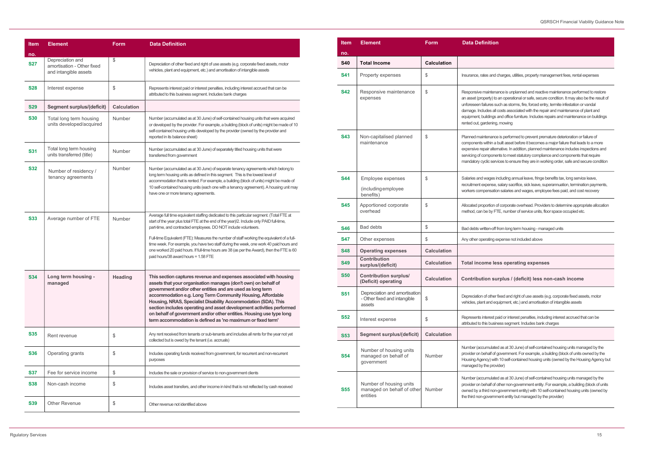and charges, utilities, property management fees, rental expenses

tenance is unplanned and reactive maintenance performed to restore y) to an operational or safe, secure condition. It may also be the result of es such as storms, fire, forced entry, termite infestation or vandal s all costs associated with the repair and maintenance of plant and ngs and office furniture. Includes repairs and maintenance on buildings ning, mowing

ance is performed to prevent premature deterioration or failure of in a built asset before it becomes a major failure that leads to a more alternative. In addition, planned maintenance includes inspections and onents to meet statutory compliance and components that require services to ensure they are in working order, safe and secure condition

es including annual leave, fringe benefits tax, long service leave, nse, salary sacrifice, sick leave, superannuation, termination payments, sation salaries and wages, employee fees paid, and cost recovery

on of corporate overhead. Providers to determine appropriate allocation y FTE, number of service units, floor space occupied etc.

-off from long term housing - managed units

ng expense not included above

#### **less operating expenses**

#### surplus / (deficit) less non-cash income

ther fixed and right of use assets (e.g. corporate fixed assets, motor d equipment, etc.) and amortisation of intangible assets

est paid or interest penalties, including interest accrued that can be usiness segment. Includes bank charges

llated as at 30 June) of self-contained housing units managed by the f of government. For example, a building (block of units owned by the with 10 self-contained housing units (owned by the Housing Agency but provider)

 $\mu$ lated as at 30 June) of self-contained housing units managed by the f of other non-government entity. For example, a building (block of units non-government entity) with 10 self-contained housing units (owned by ernment entity but managed by the provider)

| <b>Item</b> | <b>Element</b>                                                          | <b>Form</b>        | <b>Data Definition</b>                                                                                                                                                                                                                                                                                                                                                                                                                                                                                                                                                                 |
|-------------|-------------------------------------------------------------------------|--------------------|----------------------------------------------------------------------------------------------------------------------------------------------------------------------------------------------------------------------------------------------------------------------------------------------------------------------------------------------------------------------------------------------------------------------------------------------------------------------------------------------------------------------------------------------------------------------------------------|
| no.         |                                                                         |                    |                                                                                                                                                                                                                                                                                                                                                                                                                                                                                                                                                                                        |
| <b>S27</b>  | Depreciation and<br>amortisation - Other fixed<br>and intangible assets | \$                 | Depreciation of other fixed and right of use assets (e.g. corporate fixed assets, motor<br>vehicles, plant and equipment, etc.) and amortisation of intangible assets                                                                                                                                                                                                                                                                                                                                                                                                                  |
| <b>S28</b>  | Interest expense                                                        | \$                 | Represents interest paid or interest penalties, including interest accrued that can be<br>attributed to this business segment. Includes bank charges                                                                                                                                                                                                                                                                                                                                                                                                                                   |
| <b>S29</b>  | <b>Segment surplus/(deficit)</b>                                        | <b>Calculation</b> |                                                                                                                                                                                                                                                                                                                                                                                                                                                                                                                                                                                        |
| <b>S30</b>  | Total long term housing<br>units developed/acquired                     | Number             | Number (accumulated as at 30 June) of self-contained housing units that were acquired<br>or developed by the provider. For example, a building (block of units) might be made of 10<br>self-contained housing units developed by the provider (owned by the provider and<br>reported in its balance sheet)                                                                                                                                                                                                                                                                             |
| <b>S31</b>  | Total long term housing<br>units transferred (title)                    | <b>Number</b>      | Number (accumulated as at 30 June) of separately titled housing units that were<br>transferred from government                                                                                                                                                                                                                                                                                                                                                                                                                                                                         |
| <b>S32</b>  | Number of residency /<br>tenancy agreements                             | Number             | Number (accumulated as at 30 June) of separate tenancy agreements which belong to<br>long term housing units as defined in this segment. This is the lowest level of<br>accommodation that is rented. For example, a building (block of units) might be made of<br>10 self-contained housing units (each one with a tenancy agreement). A housing unit may<br>have one or more tenancy agreements.                                                                                                                                                                                     |
| <b>S33</b>  | Average number of FTE                                                   | <b>Number</b>      | Average full time equivalent staffing dedicated to this particular segment. (Total FTE at<br>start of the year plus total FTE at the end of the year)/2. Include only PAID full-time,<br>part-time, and contracted employees. DO NOT include volunteers.<br>Full-time Equivalent (FTE): Measures the number of staff working the equivalent of a full-<br>time week. For example, you have two staff during the week, one work 40 paid hours and<br>one worked 20 paid hours. If full-time hours are 38 (as per the Award), then the FTE is 60<br>paid hours/38 award hours = 1.58 FTE |
| <b>S34</b>  | Long term housing -<br>managed                                          | <b>Heading</b>     | This section captures revenue and expenses associated with housing<br>assets that your organisation manages (don't own) on behalf of<br>government and/or other entities and are used as long term<br>accommodation e.g. Long Term Community Housing, Affordable<br>Housing, NRAS, Specialist Disability Accommodation (SDA). This<br>section includes operating and asset development activities performed<br>on behalf of government and/or other entities. Housing use type long<br>term accommodation is defined as 'no maximum or fixed term'                                     |
| <b>S35</b>  | Rent revenue                                                            | \$                 | Any rent received from tenants or sub-tenants and includes all rents for the year not yet<br>collected but is owed by the tenant (i.e. accruals)                                                                                                                                                                                                                                                                                                                                                                                                                                       |
| <b>S36</b>  | Operating grants                                                        | \$                 | Includes operating funds received from government, for recurrent and non-recurrent<br>purposes                                                                                                                                                                                                                                                                                                                                                                                                                                                                                         |
| <b>S37</b>  | Fee for service income                                                  | \$                 | Includes the sale or provision of service to non-government clients                                                                                                                                                                                                                                                                                                                                                                                                                                                                                                                    |
| <b>S38</b>  | Non-cash income                                                         | \$                 | Includes asset transfers, and other income in kind that is not reflected by cash received                                                                                                                                                                                                                                                                                                                                                                                                                                                                                              |
| <b>S39</b>  | <b>Other Revenue</b>                                                    | \$                 | Other revenue not identified above                                                                                                                                                                                                                                                                                                                                                                                                                                                                                                                                                     |

| <b>Item</b> | <b>Element</b>                                                          | <b>Form</b>        | <b>Data Definition</b>                                                                                                                                        |
|-------------|-------------------------------------------------------------------------|--------------------|---------------------------------------------------------------------------------------------------------------------------------------------------------------|
| no.         |                                                                         |                    |                                                                                                                                                               |
| <b>S40</b>  | <b>Total Income</b>                                                     | <b>Calculation</b> |                                                                                                                                                               |
| S41         | Property expenses                                                       | \$                 | Insurance, rates and ch                                                                                                                                       |
| S42         | Responsive maintenance<br>expenses                                      | \$                 | Responsive maintenan<br>an asset (property) to a<br>unforeseen failures suc<br>damage. Includes all co<br>equipment, buildings ar<br>rented out, gardening, r |
| <b>S43</b>  | Non-capitalised planned<br>maintenance                                  | \$                 | Planned maintenance i<br>components within a bu<br>expensive repair alterna<br>servicing of component<br>mandatory cyclic servic                              |
| <b>S44</b>  | Employee expenses                                                       | \$                 | Salaries and wages inc                                                                                                                                        |
|             | (including employee<br>benefits)                                        |                    | recruitment expense, sa<br>workers compensation                                                                                                               |
| S45         | Apportioned corporate<br>overhead                                       | \$                 | Allocated proportion of<br>method, can be by FTE                                                                                                              |
| S46         | <b>Bad debts</b>                                                        | \$                 | Bad debts written-off fro                                                                                                                                     |
| <b>S47</b>  | Other expenses                                                          | \$                 | Any other operating exp                                                                                                                                       |
| <b>S48</b>  | <b>Operating expenses</b>                                               | <b>Calculation</b> |                                                                                                                                                               |
| S49         | <b>Contribution</b><br>surplus/(deficit)                                | <b>Calculation</b> | <b>Total income less</b>                                                                                                                                      |
| <b>S50</b>  | <b>Contribution surplus/</b><br>(Deficit) operating                     | <b>Calculation</b> | <b>Contribution suri</b>                                                                                                                                      |
| S51         | Depreciation and amortisation<br>- Other fixed and intangible<br>assets | \$                 | Depreciation of other fix<br>vehicles, plant and equi                                                                                                         |
| S52         | Interest expense                                                        | \$                 | Represents interest pai<br>attributed to this busines                                                                                                         |
| <b>S53</b>  | <b>Segment surplus/(deficit)</b>                                        | <b>Calculation</b> |                                                                                                                                                               |
| S54         | Number of housing units<br>managed on behalf of<br>government           | Number             | Number (accumulated<br>provider on behalf of go<br>Housing Agency) with '<br>managed by the provid                                                            |
| S55         | Number of housing units<br>managed on behalf of other<br>entities       | Number             | Number (accumulated<br>provider on behalf of otl<br>owned by a third non-go<br>the third non-governme                                                         |
|             |                                                                         |                    |                                                                                                                                                               |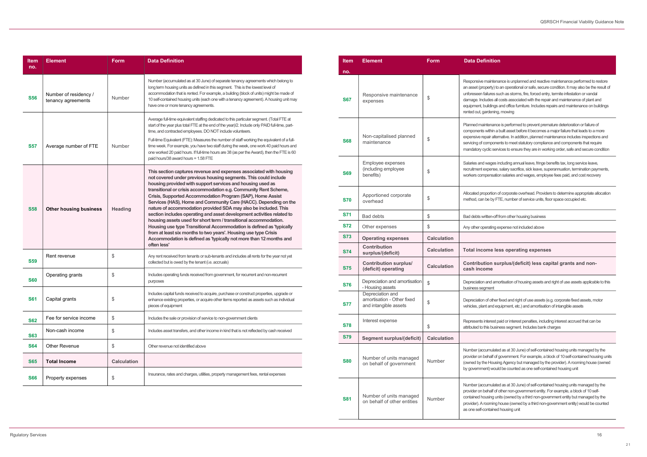intenance is unplanned and reactive maintenance performed to restore erty) to an operational or safe, secure condition. It may also be the result of ures such as storms, fire, forced entry, termite infestation or vandal les all costs associated with the repair and maintenance of plant and dings and office furniture. Includes repairs and maintenance on buildings dening, mowing

enance is performed to prevent premature deterioration or failure of thin a built asset before it becomes a major failure that leads to a more alternative. In addition, planned maintenance includes inspections and nponents to meet statutory compliance and components that require ic services to ensure they are in working order, safe and secure condition

ages including annual leave, fringe benefits tax, long service leave, ense, salary sacrifice, sick leave, superannuation, termination payments, nsation salaries and wages, employee fees paid, and cost recovery

rtion of corporate overhead. Providers to determine appropriate allocation by FTE, number of service units, floor space occupied etc.

#### ne less operating expenses

d amortisation of housing assets and right of use assets applicable to this ent

nulated as at 30 June) of self-contained housing units managed by the ralf of government. For example, a block of 10 self-contained housing units Housing Agency but managed by the provider). A rooming house (owned ) would be counted as one self-contained housing unit

nulated as at 30 June) of self-contained housing units managed by the half of other non-government entity. For example, a block of 10 selfing units (owned by a third non-government entity but managed by the ming house (owned by a third non-government entity) would be counted ained housing unit

| Item<br>no. | <b>Element</b>                              | <b>Form</b>        | <b>Data Definition</b>                                                                                                                                                                                                                                                                                                                                                                                                                                                                                                                                                                                                                                                                                                                                                                                                                                     |
|-------------|---------------------------------------------|--------------------|------------------------------------------------------------------------------------------------------------------------------------------------------------------------------------------------------------------------------------------------------------------------------------------------------------------------------------------------------------------------------------------------------------------------------------------------------------------------------------------------------------------------------------------------------------------------------------------------------------------------------------------------------------------------------------------------------------------------------------------------------------------------------------------------------------------------------------------------------------|
| <b>S56</b>  | Number of residency /<br>tenancy agreements | Number             | Number (accumulated as at 30 June) of separate tenancy agreements which belong to<br>long term housing units as defined in this segment. This is the lowest level of<br>accommodation that is rented. For example, a building (block of units) might be made of<br>10 self-contained housing units (each one with a tenancy agreement). A housing unit may<br>have one or more tenancy agreements.                                                                                                                                                                                                                                                                                                                                                                                                                                                         |
| <b>S57</b>  | Average number of FTE                       | Number             | Average full-time equivalent staffing dedicated to this particular segment. (Total FTE at<br>start of the year plus total FTE at the end of the year)/2. Include only PAID full-time, part-<br>time, and contracted employees. DO NOT include volunteers.<br>Full-time Equivalent (FTE): Measures the number of staff working the equivalent of a full-<br>time week. For example, you have two staff during the week, one work 40 paid hours and<br>one worked 20 paid hours. If full-time hours are 38 (as per the Award), then the FTE is 60<br>paid hours/38 award hours = 1.58 FTE                                                                                                                                                                                                                                                                    |
| <b>S58</b>  | <b>Other housing business</b>               | <b>Heading</b>     | This section captures revenue and expenses associated with housing<br>not covered under previous housing segments. This could include<br>housing provided with support services and housing used as<br>transitional or crisis accommodation e.g. Community Rent Scheme,<br>Crisis, Supported Accommodation Program (SAP), Home Assist<br>Services (HAS), Home and Community Care (HACC). Depending on the<br>nature of accommodation provided SDA may also be included. This<br>section includes operating and asset development activities related to<br>housing assets used for short term / transitional accommodation.<br>Housing use type Transitional Accommodation is defined as 'typically<br>from at least six months to two years'. Housing use type Crisis<br>Accommodation is defined as 'typically not more than 12 months and<br>often less' |
| <b>S59</b>  | Rent revenue                                | \$                 | Any rent received from tenants or sub-tenants and includes all rents for the year not yet<br>collected but is owed by the tenant (i.e. accruals)                                                                                                                                                                                                                                                                                                                                                                                                                                                                                                                                                                                                                                                                                                           |
| <b>S60</b>  | Operating grants                            | \$                 | Includes operating funds received from government, for recurrent and non-recurrent<br>purposes                                                                                                                                                                                                                                                                                                                                                                                                                                                                                                                                                                                                                                                                                                                                                             |
| <b>S61</b>  | Capital grants                              | \$                 | Includes capital funds received to acquire, purchase or construct properties, upgrade or<br>enhance existing properties, or acquire other items reported as assets such as individual<br>pieces of equipment                                                                                                                                                                                                                                                                                                                                                                                                                                                                                                                                                                                                                                               |
| <b>S62</b>  | Fee for service income                      | \$                 | Includes the sale or provision of service to non-government clients                                                                                                                                                                                                                                                                                                                                                                                                                                                                                                                                                                                                                                                                                                                                                                                        |
| <b>S63</b>  | Non-cash income                             | \$                 | Includes asset transfers, and other income in kind that is not reflected by cash received                                                                                                                                                                                                                                                                                                                                                                                                                                                                                                                                                                                                                                                                                                                                                                  |
| <b>S64</b>  | Other Revenue                               | \$                 | Other revenue not identified above                                                                                                                                                                                                                                                                                                                                                                                                                                                                                                                                                                                                                                                                                                                                                                                                                         |
| <b>S65</b>  | <b>Total Income</b>                         | <b>Calculation</b> |                                                                                                                                                                                                                                                                                                                                                                                                                                                                                                                                                                                                                                                                                                                                                                                                                                                            |
| <b>S66</b>  | Property expenses                           | \$                 | Insurance, rates and charges, utilities, property management fees, rental expenses                                                                                                                                                                                                                                                                                                                                                                                                                                                                                                                                                                                                                                                                                                                                                                         |

| <b>Item</b> | <b>Element</b>                                                          | <b>Form</b>        | <b>Data Definition</b>                                                                                                                                                                                                                                                                                                                                                                                                                                                                |
|-------------|-------------------------------------------------------------------------|--------------------|---------------------------------------------------------------------------------------------------------------------------------------------------------------------------------------------------------------------------------------------------------------------------------------------------------------------------------------------------------------------------------------------------------------------------------------------------------------------------------------|
| no.         |                                                                         |                    |                                                                                                                                                                                                                                                                                                                                                                                                                                                                                       |
| <b>S67</b>  | Responsive maintenance<br>expenses                                      | \$                 | Responsive maintenance is unplanned and reactive maintenance performed to resto<br>an asset (property) to an operational or safe, secure condition. It may also be the resu<br>unforeseen failures such as storms, fire, forced entry, termite infestation or vandal<br>damage. Includes all costs associated with the repair and maintenance of plant and<br>equipment, buildings and office furniture. Includes repairs and maintenance on buildir<br>rented out, gardening, mowing |
| <b>S68</b>  | Non-capitalised planned<br>maintenance                                  | \$                 | Planned maintenance is performed to prevent premature deterioration or failure of<br>components within a built asset before it becomes a major failure that leads to a more<br>expensive repair alternative. In addition, planned maintenance includes inspections a<br>servicing of components to meet statutory compliance and components that require<br>mandatory cyclic services to ensure they are in working order, safe and secure condi                                      |
| <b>S69</b>  | Employee expenses<br>(including employee<br>benefits)                   | \$                 | Salaries and wages including annual leave, fringe benefits tax, long service leave,<br>recruitment expense, salary sacrifice, sick leave, superannuation, termination payme<br>workers compensation salaries and wages, employee fees paid, and cost recovery                                                                                                                                                                                                                         |
| <b>S70</b>  | Apportioned corporate<br>overhead                                       | \$                 | Allocated proportion of corporate overhead. Providers to determine appropriate allocated<br>method, can be by FTE, number of service units, floor space occupied etc.                                                                                                                                                                                                                                                                                                                 |
| <b>S71</b>  | <b>Bad debts</b>                                                        | \$                 | Bad debts written-off from other housing business                                                                                                                                                                                                                                                                                                                                                                                                                                     |
| <b>S72</b>  | Other expenses                                                          | \$                 | Any other operating expense not included above                                                                                                                                                                                                                                                                                                                                                                                                                                        |
| <b>S73</b>  | <b>Operating expenses</b>                                               | <b>Calculation</b> |                                                                                                                                                                                                                                                                                                                                                                                                                                                                                       |
| <b>S74</b>  | <b>Contribution</b><br>surplus/(deficit)                                | <b>Calculation</b> | Total income less operating expenses                                                                                                                                                                                                                                                                                                                                                                                                                                                  |
| <b>S75</b>  | <b>Contribution surplus/</b><br>(deficit) operating                     | <b>Calculation</b> | Contribution surplus/(deficit) less capital grants and non-<br>cash income                                                                                                                                                                                                                                                                                                                                                                                                            |
| <b>S76</b>  | Depreciation and amortisation<br>- Housing assets                       | \$                 | Depreciation and amortisation of housing assets and right of use assets applicable to<br>business segment                                                                                                                                                                                                                                                                                                                                                                             |
| <b>S77</b>  | Depreciation and<br>amortisation - Other fixed<br>and intangible assets | \$                 | Depreciation of other fixed and right of use assets (e.g. corporate fixed assets, motor<br>vehicles, plant and equipment, etc.) and amortisation of intangible assets                                                                                                                                                                                                                                                                                                                 |
| <b>S78</b>  | Interest expense                                                        | \$                 | Represents interest paid or interest penalties, including interest accrued that can be<br>attributed to this business segment. Includes bank charges                                                                                                                                                                                                                                                                                                                                  |
| <b>S79</b>  | <b>Segment surplus/(deficit)</b>                                        | <b>Calculation</b> |                                                                                                                                                                                                                                                                                                                                                                                                                                                                                       |
| <b>S80</b>  | Number of units managed<br>on behalf of government                      | Number             | Number (accumulated as at 30 June) of self-contained housing units managed by th<br>provider on behalf of government. For example, a block of 10 self-contained housing<br>(owned by the Housing Agency but managed by the provider). A rooming house (ow<br>by government) would be counted as one self-contained housing unit                                                                                                                                                       |
| <b>S81</b>  | Number of units managed<br>on behalf of other entities                  | Number             | Number (accumulated as at 30 June) of self-contained housing units managed by th<br>provider on behalf of other non-government entity. For example, a block of 10 self-<br>contained housing units (owned by a third non-government entity but managed by th<br>provider). A rooming house (owned by a third non-government entity) would be coun<br>as one self-contained housing unit                                                                                               |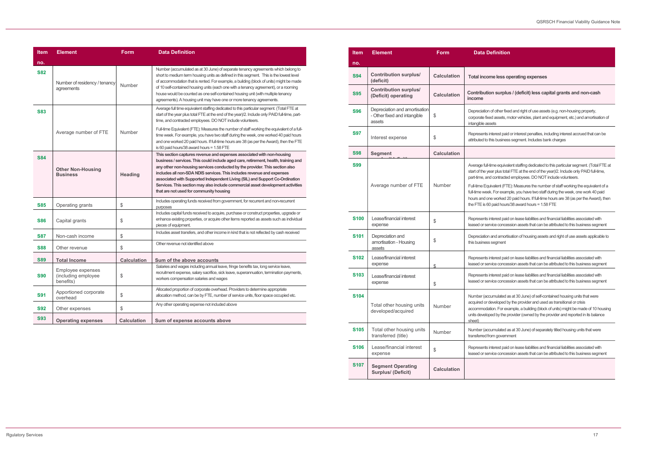### **Iefinition**

#### me less operating expenses

#### ion surplus / (deficit) less capital grants and non-cash

n of other fixed and right of use assets (e.g. non-housing property,  $\epsilon$ ed assets, motor vehicles, plant and equipment, etc.) and amortisation of isets

interest paid or interest penalties, including interest accrued that can be this business segment. Includes bank charges

-time equivalent staffing dedicated to this particular segment. (Total FTE at ear plus total FTE at the end of the year)/2. Include only PAID full-time, nd contracted employees. DO NOT include volunteers.

uivalent (FTE): Measures the number of staff working the equivalent of a ek. For example, you have two staff during the week, one work 40 paid ne worked 20 paid hours. If full-time hours are 38 (as per the Award), then  $60$  paid hours/38 award hours = 1.58 FTE

interest paid on lease liabilities and financial liabilities associated with ervice concession assets that can be attributed to this business segment

n and amortisation of housing assets and right of use assets applicable to s segment

interest paid on lease liabilities and financial liabilities associated with envice concession assets that can be attributed to this business segment

interest paid on lease liabilities and financial liabilities associated with ervice concession assets that can be attributed to this business segment

cumulated as at 30 June) of self-contained housing units that were developed by the provider and used as transitional or crisis ation. For example, a building (block of units) might be made of 10 housing ped by the provider (owned by the provider and reported in its balance

cumulated as at 30 June) of separately titled housing units that were trom government

interest paid on lease liabilities and financial liabilities associated with envice concession assets that can be attributed to this business segment

| ltem        | <b>Element</b>                                                          | <b>Form</b>        | Data D                                                                                                                 |
|-------------|-------------------------------------------------------------------------|--------------------|------------------------------------------------------------------------------------------------------------------------|
| no.         |                                                                         |                    |                                                                                                                        |
| <b>S94</b>  | <b>Contribution surplus/</b><br>(deficit)                               | <b>Calculation</b> | <b>Total incor</b>                                                                                                     |
| <b>S95</b>  | <b>Contribution surplus/</b><br>(Deficit) operating                     | <b>Calculation</b> | Contributio<br>income                                                                                                  |
| S96         | Depreciation and amortisation<br>- Other fixed and intangible<br>assets | \$                 | Depreciation<br>corporate fixe<br>intangible as:                                                                       |
| S97         | Interest expense                                                        | \$                 | Represents i<br>attributed to t                                                                                        |
| <b>S98</b>  | <b>Segment</b>                                                          | <b>Calculation</b> |                                                                                                                        |
| <b>S99</b>  | Average number of FTE                                                   | Number             | Average full-<br>start of the ye<br>part-time, and<br>Full-time Equ<br>full-time weel<br>hours and or<br>the FTE is 60 |
| <b>S100</b> | Lease/financial interest<br>expense                                     | \$                 | Represents i<br>leased or ser                                                                                          |
| <b>S101</b> | Depreciation and<br>amortisation - Housing<br>assets                    | \$                 | Depreciation<br>this business                                                                                          |
| <b>S102</b> | Lease/financial interest<br>expense                                     | \$.                | Represents i<br>leased or ser                                                                                          |
| <b>S103</b> | Lease/financial interest<br>expense                                     | \$                 | Represents i<br>leased or ser                                                                                          |
| <b>S104</b> | Total other housing units<br>developed/acquired                         | Number             | Number (acc<br>acquired or c<br>accommoda<br>units develop<br>sheet)                                                   |
| <b>S105</b> | Total other housing units<br>transferred (title)                        | Number             | Number (acc<br>transferred fr                                                                                          |
| <b>S106</b> | Lease/financial interest<br>expense                                     | \$                 | Represents i<br>leased or ser                                                                                          |
| <b>S107</b> | <b>Segment Operating</b><br><b>Surplus/ (Deficit)</b>                   | <b>Calculation</b> |                                                                                                                        |

| ltem       | <b>Element</b>                                        | <b>Form</b>        | <b>Data Definition</b>                                                                                                                                                                                                                                                                                                                                                                                                                                                                                                               |
|------------|-------------------------------------------------------|--------------------|--------------------------------------------------------------------------------------------------------------------------------------------------------------------------------------------------------------------------------------------------------------------------------------------------------------------------------------------------------------------------------------------------------------------------------------------------------------------------------------------------------------------------------------|
| no.        |                                                       |                    |                                                                                                                                                                                                                                                                                                                                                                                                                                                                                                                                      |
| <b>S82</b> | Number of residency / tenancy<br>agreements           | Number             | Number (accumulated as at 30 June) of separate tenancy agreements which belong to<br>short to medium term housing units as defined in this segment. This is the lowest level<br>of accommodation that is rented. For example, a building (block of units) might be made<br>of 10 self-contained housing units (each one with a tenancy agreement), or a rooming<br>house would be counted as one self-contained housing unit (with multiple tenancy<br>agreements). A housing unit may have one or more tenancy agreements.          |
| <b>S83</b> |                                                       |                    | Average full time equivalent staffing dedicated to this particular segment. (Total FTE at<br>start of the year plus total FTE at the end of the year)/2. Include only PAID full-time, part-<br>time, and contracted employees. DO NOT include volunteers.                                                                                                                                                                                                                                                                            |
|            | Average number of FTE                                 | <b>Number</b>      | Full-time Equivalent (FTE): Measures the number of staff working the equivalent of a full-<br>time week. For example, you have two staff during the week, one worked 40 paid hours<br>and one worked 20 paid hours. If full-time hours are 38 (as per the Award), then the FTE<br>is 60 paid hours/38 award hours = 1.58 FTE                                                                                                                                                                                                         |
| <b>S84</b> | <b>Other Non-Housing</b><br><b>Business</b>           | <b>Heading</b>     | This section captures revenue and expenses associated with non-housing<br>business / services. This could include aged care, retirement, health, training and<br>any other non-housing services conducted by the provider. This section also<br>includes all non-SDA NDIS services. This includes revenue and expenses<br>associated with Supported Independent Living (SIL) and Support Co-Ordination<br>Services. This section may also include commercial asset development activities<br>that are not used for community housing |
| <b>S85</b> | Operating grants                                      | \$                 | Includes operating funds received from government, for recurrent and non-recurrent<br>purposes                                                                                                                                                                                                                                                                                                                                                                                                                                       |
| <b>S86</b> | Capital grants                                        | \$                 | Includes capital funds received to acquire, purchase or construct properties, upgrade or<br>enhance existing properties, or acquire other items reported as assets such as individual<br>pieces of equipment.                                                                                                                                                                                                                                                                                                                        |
| <b>S87</b> | Non-cash income                                       | \$                 | Includes asset transfers, and other income in kind that is not reflected by cash received                                                                                                                                                                                                                                                                                                                                                                                                                                            |
| <b>S88</b> | Other revenue                                         | \$                 | Other revenue not identified above                                                                                                                                                                                                                                                                                                                                                                                                                                                                                                   |
| <b>S89</b> | <b>Total Income</b>                                   | <b>Calculation</b> | Sum of the above accounts                                                                                                                                                                                                                                                                                                                                                                                                                                                                                                            |
| <b>S90</b> | Employee expenses<br>(including employee<br>benefits) | \$                 | Salaries and wages including annual leave, fringe benefits tax, long service leave,<br>recruitment expense, salary sacrifice, sick leave, superannuation, termination payments,<br>workers compensation salaries and wages                                                                                                                                                                                                                                                                                                           |
| <b>S91</b> | Apportioned corporate<br>overhead                     | \$                 | Allocated proportion of corporate overhead. Providers to determine appropriate<br>allocation method, can be by FTE, number of service units, floor space occupied etc.                                                                                                                                                                                                                                                                                                                                                               |
| <b>S92</b> | Other expenses                                        | \$                 | Any other operating expense not included above                                                                                                                                                                                                                                                                                                                                                                                                                                                                                       |
| <b>S93</b> | <b>Operating expenses</b>                             | <b>Calculation</b> | Sum of expense accounts above                                                                                                                                                                                                                                                                                                                                                                                                                                                                                                        |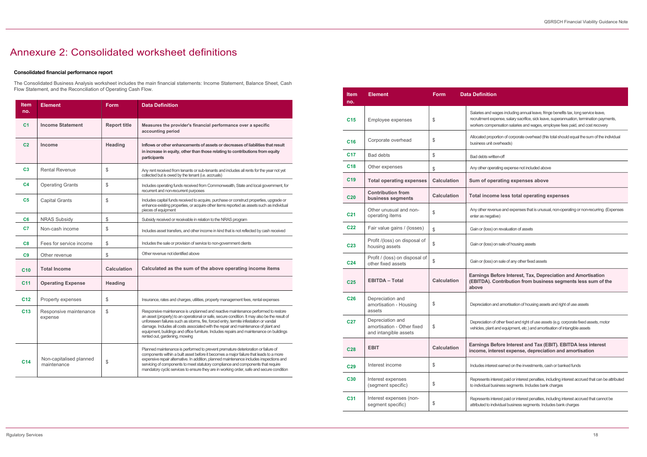d wages including annual leave, fringe benefits tax, long service leave, t expense, salary sacrifice, sick leave, superannuation, termination payments, mpensation salaries and wages, employee fees paid, and cost recovery

roportion of corporate overhead (this total should equal the sum of the individual nit overheads)

operating expense not included above

#### operating expenses above

#### come less total operating expenses

revenue and expenses that is unusual, non-operating or non-recurring. (Expenses egative)

ss) on revaluation of assets

ss) on sale of housing assets

ss) on sale of any other fixed assets

#### **Before Interest, Tax, Depreciation and Amortisation** . Contribution from business segments less sum of the

on and amortisation of housing assets and right of use assets

on of other fixed and right of use assets (e.g. corporate fixed assets, motor lant and equipment, etc.) and amortisation of intangible assets

#### **Before Interest and Tax (EBIT). EBITDA less interest** interest expense, depreciation and amortisation

terest earned on the investments, cash or banked funds

s interest paid or interest penalties, including interest accrued that can be attributed al business segments. Includes bank charges

s interest paid or interest penalties, including interest accrued that cannot be o individual business segments. Includes bank charges

| <b>Item</b><br>no. | <b>Element</b>                         | <b>Form</b>         | <b>Data Definition</b>                                                                                                                                                                                                                                                                                                                                                                                                                                                                         |
|--------------------|----------------------------------------|---------------------|------------------------------------------------------------------------------------------------------------------------------------------------------------------------------------------------------------------------------------------------------------------------------------------------------------------------------------------------------------------------------------------------------------------------------------------------------------------------------------------------|
| C <sub>1</sub>     | <b>Income Statement</b>                | <b>Report title</b> | Measures the provider's financial performance over a specific<br>accounting period                                                                                                                                                                                                                                                                                                                                                                                                             |
| C <sub>2</sub>     | Income                                 | <b>Heading</b>      | Inflows or other enhancements of assets or decreases of liabilities that result<br>in increase in equity, other than those relating to contributions from equity<br>participants                                                                                                                                                                                                                                                                                                               |
| C <sub>3</sub>     | <b>Rental Revenue</b>                  | \$                  | Any rent received from tenants or sub-tenants and includes all rents for the year not yet<br>collected but is owed by the tenant (i.e. accruals)                                                                                                                                                                                                                                                                                                                                               |
| C <sub>4</sub>     | <b>Operating Grants</b>                | \$                  | Includes operating funds received from Commonwealth, State and local government, for<br>recurrent and non-recurrent purposes                                                                                                                                                                                                                                                                                                                                                                   |
| C <sub>5</sub>     | <b>Capital Grants</b>                  | \$                  | Includes capital funds received to acquire, purchase or construct properties, upgrade or<br>enhance existing properties, or acquire other items reported as assets such as individual<br>pieces of equipment                                                                                                                                                                                                                                                                                   |
| C <sub>6</sub>     | <b>NRAS Subsidy</b>                    | \$                  | Subsidy received or receivable in relation to the NRAS program                                                                                                                                                                                                                                                                                                                                                                                                                                 |
| C7                 | Non-cash income                        | \$                  | Includes asset transfers, and other income in kind that is not reflected by cash received                                                                                                                                                                                                                                                                                                                                                                                                      |
| C8                 | Fees for service income                | \$                  | Includes the sale or provision of service to non-government clients                                                                                                                                                                                                                                                                                                                                                                                                                            |
| C9                 | Other revenue                          | \$                  | Other revenue not identified above                                                                                                                                                                                                                                                                                                                                                                                                                                                             |
| C <sub>10</sub>    | <b>Total Income</b>                    | <b>Calculation</b>  | Calculated as the sum of the above operating income items                                                                                                                                                                                                                                                                                                                                                                                                                                      |
| C <sub>11</sub>    | <b>Operating Expense</b>               | <b>Heading</b>      |                                                                                                                                                                                                                                                                                                                                                                                                                                                                                                |
| C <sub>12</sub>    | Property expenses                      | \$                  | Insurance, rates and charges, utilities, property management fees, rental expenses                                                                                                                                                                                                                                                                                                                                                                                                             |
| C <sub>13</sub>    | Responsive maintenance<br>expense      | \$                  | Responsive maintenance is unplanned and reactive maintenance performed to restore<br>an asset (property) to an operational or safe, secure condition. It may also be the result of<br>unforeseen failures such as storms, fire, forced entry, termite infestation or vandal<br>damage. Includes all costs associated with the repair and maintenance of plant and<br>equipment, buildings and office furniture. Includes repairs and maintenance on buildings<br>rented out, gardening, mowing |
| C <sub>14</sub>    | Non-capitalised planned<br>maintenance | \$                  | Planned maintenance is performed to prevent premature deterioration or failure of<br>components within a built asset before it becomes a major failure that leads to a more<br>expensive repair alternative. In addition, planned maintenance includes inspections and<br>servicing of components to meet statutory compliance and components that require<br>mandatory cyclic services to ensure they are in working order, safe and secure condition                                         |

## Annexure 2: Consolidated worksheet definitions

#### Consolidated financial performance report

The Consolidated Business Analysis worksheet includes the main financial statements: Income Statement, Balance Sheet, Cash Flow Statement, and the Reconciliation of Operating Cash Flow.

| <b>Item</b><br>no. | <b>Element</b>                                                          | Form               | <b>Data Definition</b>                                               |
|--------------------|-------------------------------------------------------------------------|--------------------|----------------------------------------------------------------------|
| C15                | Employee expenses                                                       | \$                 | Salaries and wages in<br>recruitment expense,<br>workers compensatio |
| C <sub>16</sub>    | Corporate overhead                                                      | \$                 | Allocated proportion o<br>business unit overhea                      |
| C <sub>17</sub>    | <b>Bad debts</b>                                                        | \$                 | Bad debts written-off                                                |
| C18                | Other expenses                                                          | \$                 | Any other operating e                                                |
| C <sub>19</sub>    | <b>Total operating expenses</b>                                         | <b>Calculation</b> | Sum of operatin                                                      |
| C <sub>20</sub>    | <b>Contribution from</b><br>business segments                           | <b>Calculation</b> | <b>Total income les</b>                                              |
| C <sub>21</sub>    | Other unusual and non-<br>operating items                               | \$                 | Any other revenue ar<br>enter as negative)                           |
| <b>C22</b>         | Fair value gains / (losses)                                             | \$                 | Gain or (loss) on reva                                               |
| C <sub>23</sub>    | Profit /(loss) on disposal of<br>housing assets                         | \$                 | Gain or (loss) on sale                                               |
| C <sub>24</sub>    | Profit / (loss) on disposal of<br>other fixed assets                    | \$                 | Gain or (loss) on sale                                               |
| C <sub>25</sub>    | <b>EBITDA - Total</b>                                                   | <b>Calculation</b> | <b>Earnings Before</b><br>(EBITDA). Contri<br>above                  |
| <b>C26</b>         | Depreciation and<br>amortisation - Housing<br>assets                    | \$                 | Depreciation and am                                                  |
| C <sub>27</sub>    | Depreciation and<br>amortisation - Other fixed<br>and intangible assets | \$                 | Depreciation of other<br>vehicles, plant and ec                      |
| <b>C28</b>         | <b>EBIT</b>                                                             | <b>Calculation</b> | <b>Earnings Before</b><br>income, interest                           |
| C <sub>29</sub>    | Interest income                                                         | \$                 | Includes interest earn                                               |
| <b>C30</b>         | Interest expenses<br>(segment specific)                                 | \$                 | Represents interest p<br>to individual business                      |
| C31                | Interest expenses (non-<br>segment specific)                            | \$                 | Represents interest p<br>attributed to individua                     |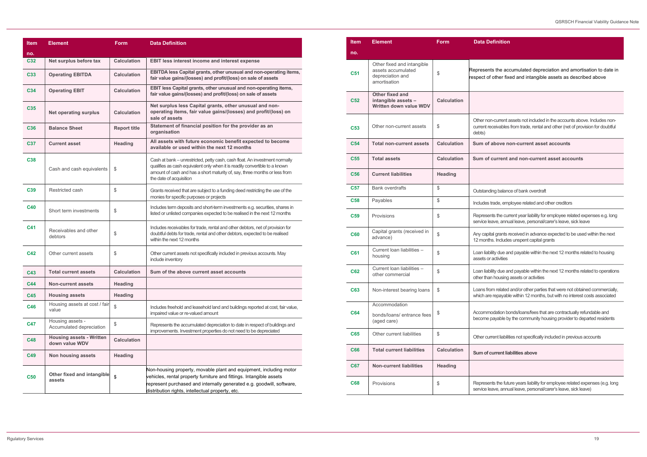### **Iefinition**

nts the accumulated depreciation and amortisation to date in f other fixed and intangible assets as described above

on-current assets not included in the accounts above. Includes nonreceivables from trade, rental and other (net of provision for doubtful

 $\frac{1}{2}$  above non-current asset accounts

f current and non-current asset accounts

ding balance of bank overdraft

s trade, employee related and other creditors

ents the current year liability for employee related expenses e.g. long leave, annual leave, personal/carer's leave, sick leave

bital grants received in advance expected to be used within the next ths. Includes unspent capital grants

bility due and payable within the next 12 months related to housing r activities

bility due and payable within the next 12 months related to operations an housing assets or activities

om related and/or other parties that were not obtained commercially, re repayable within 12 months, but with no interest costs associated

nodation bonds/loans/fees that are contractually refundable and e payable by the community housing provider to departed residents

arrent liabilities not specifically included in previous accounts

#### current liabilities above

ents the future years liability for employee related expenses (e.g. long leave, annual leave, personal/carer's leave, sick leave)

| <b>Item</b>     | <b>Element</b>                                    | <b>Form</b>         | <b>Data Definition</b>                                                                                                                                                                                                                                                 |
|-----------------|---------------------------------------------------|---------------------|------------------------------------------------------------------------------------------------------------------------------------------------------------------------------------------------------------------------------------------------------------------------|
|                 |                                                   |                     |                                                                                                                                                                                                                                                                        |
| no.<br>C32      | Net surplus before tax                            | <b>Calculation</b>  | <b>EBIT less interest income and interest expense</b>                                                                                                                                                                                                                  |
|                 |                                                   |                     |                                                                                                                                                                                                                                                                        |
| C33             | <b>Operating EBITDA</b>                           | <b>Calculation</b>  | EBITDA less Capital grants, other unusual and non-operating items,<br>fair value gains/(losses) and profit/(loss) on sale of assets                                                                                                                                    |
| C <sub>34</sub> | <b>Operating EBIT</b>                             | <b>Calculation</b>  | EBIT less Capital grants, other unusual and non-operating items,<br>fair value gains/(losses) and profit/(loss) on sale of assets                                                                                                                                      |
| <b>C35</b>      | <b>Net operating surplus</b>                      | <b>Calculation</b>  | Net surplus less Capital grants, other unusual and non-<br>operating items, fair value gains/(losses) and profit/(loss) on<br>sale of assets                                                                                                                           |
| C <sub>36</sub> | <b>Balance Sheet</b>                              | <b>Report title</b> | Statement of financial position for the provider as an<br>organisation                                                                                                                                                                                                 |
| C37             | <b>Current asset</b>                              | <b>Heading</b>      | All assets with future economic benefit expected to become<br>available or used within the next 12 months                                                                                                                                                              |
| <b>C38</b>      | Cash and cash equivalents                         | \$                  | Cash at bank - unrestricted, petty cash, cash float. An investment normally<br>qualifies as cash equivalent only when it is readily convertible to a known<br>amount of cash and has a short maturity of, say, three months or less from<br>the date of acquisition    |
| C <sub>39</sub> | Restricted cash                                   | \$                  | Grants received that are subject to a funding deed restricting the use of the<br>monies for specific purposes or projects                                                                                                                                              |
| <b>C40</b>      | Short term investments                            | \$                  | Includes term deposits and short-term investments e.g. securities, shares in<br>listed or unlisted companies expected to be realised in the next 12 months                                                                                                             |
| C41             | Receivables and other<br>debtors                  | \$                  | Includes receivables for trade, rental and other debtors, net of provision for<br>doubtful debts for trade, rental and other debtors, expected to be realised<br>within the next 12 months                                                                             |
| C42             | Other current assets                              | \$                  | Other current assets not specifically included in previous accounts. May<br>include inventory                                                                                                                                                                          |
| C43             | <b>Total current assets</b>                       | <b>Calculation</b>  | Sum of the above current asset accounts                                                                                                                                                                                                                                |
| <b>C44</b>      | <b>Non-current assets</b>                         | <b>Heading</b>      |                                                                                                                                                                                                                                                                        |
| <b>C45</b>      | <b>Housing assets</b>                             | <b>Heading</b>      |                                                                                                                                                                                                                                                                        |
| <b>C46</b>      | Housing assets at cost / fair<br>value            | \$                  | Includes freehold and leasehold land and buildings reported at cost, fair value,<br>impaired value or re-valued amount                                                                                                                                                 |
| <b>C47</b>      | Housing assets -<br>Accumulated depreciation      | \$                  | Represents the accumulated depreciation to date in respect of buildings and<br>improvements. Investment properties do not need to be depreciated                                                                                                                       |
| <b>C48</b>      | <b>Housing assets - Written</b><br>down value WDV | <b>Calculation</b>  |                                                                                                                                                                                                                                                                        |
| C49             | Non housing assets                                | <b>Heading</b>      |                                                                                                                                                                                                                                                                        |
| <b>C50</b>      | Other fixed and intangible<br>assets              | \$                  | Non-housing property, movable plant and equipment, including motor<br>vehicles, rental property furniture and fittings. Intangible assets<br>represent purchased and internally generated e.g. goodwill, software,<br>distribution rights, intellectual property, etc. |

| <b>Item</b>     | <b>Element</b>                                                                       | <b>Form</b>        | Data D                           |
|-----------------|--------------------------------------------------------------------------------------|--------------------|----------------------------------|
| no.             |                                                                                      |                    |                                  |
| <b>C51</b>      | Other fixed and intangible<br>assets accumulated<br>depreciation and<br>amortisation | \$                 | Represen<br>respect o            |
| <b>C52</b>      | <b>Other fixed and</b><br>intangible assets -<br>Written down value WDV              | <b>Calculation</b> |                                  |
| C <sub>53</sub> | Other non-current assets                                                             | \$                 | Other no<br>current re<br>debts) |
| <b>C54</b>      | <b>Total non-current assets</b>                                                      | <b>Calculation</b> | Sum of                           |
| <b>C55</b>      | <b>Total assets</b>                                                                  | <b>Calculation</b> | Sum of                           |
| C <sub>56</sub> | <b>Current liabilities</b>                                                           | <b>Heading</b>     |                                  |
| <b>C57</b>      | <b>Bank overdrafts</b>                                                               | \$                 | Outstand                         |
| <b>C58</b>      | Payables                                                                             | \$                 | Includes                         |
| C <sub>59</sub> | Provisions                                                                           | \$                 | Represe<br>service le            |
| <b>C60</b>      | Capital grants (received in<br>advance)                                              | \$                 | Any capi<br>12 montl             |
| <b>C61</b>      | Current loan liabilities -<br>housing                                                | \$                 | Loan liab<br>assets of           |
| C62             | Current loan liabilities -<br>other commercial                                       | \$                 | Loan liab<br>other tha           |
| C63             | Non-interest bearing loans                                                           | \$                 | Loans fro<br>which ar            |
| C64             | Accommodation<br>bonds/loans/ entrance fees<br>(aged care)                           | \$                 | Accomm<br>become                 |
| C65             | Other current liabilities                                                            | \$                 | Other cu                         |
| <b>C66</b>      | <b>Total current liabilities</b>                                                     | <b>Calculation</b> | Sum of                           |
| C67             | <b>Non-current liabilities</b>                                                       | <b>Heading</b>     |                                  |
| C68             | Provisions                                                                           | \$                 | Represe<br>service le            |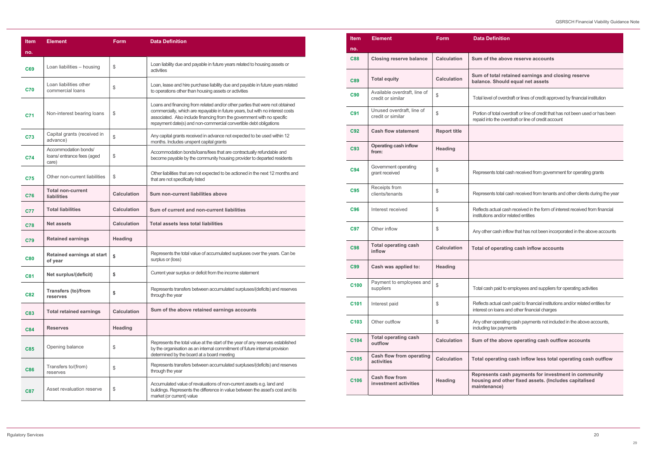### **Definition**

the above reserve accounts<sup>t</sup>

total retained earnings and closing reserve e. Should equal net assets

vel of overdraft or lines of credit approved by financial institution

of total overdraft or line of credit that has not been used or has been nto the overdraft or line of credit account

ents total cash received from government for operating grants

ents total cash received from tenants and other clients during the year

actual cash received in the form of interest received from financial ins and/or related entities

ner cash inflow that has not been incorporated in the above accounts

#### f operating cash inflow accounts

ish paid to employees and suppliers for operating activities

actual cash paid to financial institutions and/or related entities for ion loans and other financial charges

er operating cash payments not included in the above accounts, g tax payments

the above operating cash outflow accounts

perating cash inflow less total operating cash outflow

ents cash payments for investment in community g and other fixed assets. (Includes capitalised nance)

| <b>Item</b>      | <b>Element</b>                                    | <b>Form</b>         | Data D                              |
|------------------|---------------------------------------------------|---------------------|-------------------------------------|
| no.              |                                                   |                     |                                     |
| <b>C88</b>       | <b>Closing reserve balance</b>                    | <b>Calculation</b>  | Sum of                              |
| <b>C89</b>       | <b>Total equity</b>                               | <b>Calculation</b>  | Sum of<br>balance                   |
| <b>C90</b>       | Available overdraft, line of<br>credit or similar | \$                  | <b>Total lev</b>                    |
| <b>C91</b>       | Unused overdraft, line of<br>credit or similar    | \$                  | Portion o<br>repaid in              |
| C92              | <b>Cash flow statement</b>                        | <b>Report title</b> |                                     |
| <b>C93</b>       | <b>Operating cash inflow</b><br>from:             | <b>Heading</b>      |                                     |
| <b>C94</b>       | Government operating<br>grant received            | \$                  | Represe                             |
| <b>C95</b>       | Receipts from<br>clients/tenants                  | \$                  | Represe                             |
| C96              | Interest received                                 | \$                  | <b>Reflects</b><br>institutio       |
| <b>C97</b>       | Other inflow                                      | \$                  | Any othe                            |
| <b>C98</b>       | <b>Total operating cash</b><br>inflow             | <b>Calculation</b>  | <b>Total of</b>                     |
| <b>C99</b>       | Cash was applied to:                              | <b>Heading</b>      |                                     |
| C <sub>100</sub> | Payment to employees and<br>suppliers             | \$                  | Total cas                           |
| C <sub>101</sub> | Interest paid                                     | \$                  | <b>Reflects</b><br>interest         |
| C103             | Other outflow                                     | \$                  | Any othe<br>including               |
| C104             | <b>Total operating cash</b><br>outflow            | <b>Calculation</b>  | Sum of                              |
| C <sub>105</sub> | <b>Cash flow from operating</b><br>activities     | <b>Calculation</b>  | Total o                             |
| C106             | <b>Cash flow from</b><br>investment activities    | <b>Heading</b>      | <b>Repres</b><br>housing<br>mainter |
|                  |                                                   |                     |                                     |

| <b>Item</b> | <b>Element</b>                                              | <b>Form</b>        | <b>Data Definition</b>                                                                                                                                                                                                                                                                                        |
|-------------|-------------------------------------------------------------|--------------------|---------------------------------------------------------------------------------------------------------------------------------------------------------------------------------------------------------------------------------------------------------------------------------------------------------------|
| no.         |                                                             |                    |                                                                                                                                                                                                                                                                                                               |
| C69         | Loan liabilities - housing                                  | \$                 | Loan liability due and payable in future years related to housing assets or<br>activities                                                                                                                                                                                                                     |
| <b>C70</b>  | Loan liabilities other<br>commercial loans                  | \$                 | Loan, lease and hire purchase liability due and payable in future years related<br>to operations other than housing assets or activities                                                                                                                                                                      |
| C71         | Non-interest bearing loans                                  | \$                 | Loans and financing from related and/or other parties that were not obtained<br>commercially, which are repayable in future years, but with no interest costs<br>associated. Also include financing from the government with no specific<br>repayment date(s) and non-commercial convertible debt obligations |
| C73         | Capital grants (received in<br>advance)                     | \$                 | Any capital grants received in advance not expected to be used within 12<br>months. Includes unspent capital grants                                                                                                                                                                                           |
| <b>C74</b>  | Accommodation bonds/<br>loans/ entrance fees (aged<br>care) | \$                 | Accommodation bonds/loans/fees that are contractually refundable and<br>become payable by the community housing provider to departed residents                                                                                                                                                                |
| <b>C75</b>  | Other non-current liabilities                               | \$                 | Other liabilities that are not expected to be actioned in the next 12 months and<br>that are not specifically listed                                                                                                                                                                                          |
| <b>C76</b>  | <b>Total non-current</b><br><b>liabilities</b>              | <b>Calculation</b> | Sum non-current liabilities above                                                                                                                                                                                                                                                                             |
| <b>C77</b>  | <b>Total liabilities</b>                                    | <b>Calculation</b> | Sum of current and non-current liabilities                                                                                                                                                                                                                                                                    |
| <b>C78</b>  | <b>Net assets</b>                                           | <b>Calculation</b> | <b>Total assets less total liabilities</b>                                                                                                                                                                                                                                                                    |
| C79         | <b>Retained earnings</b>                                    | <b>Heading</b>     |                                                                                                                                                                                                                                                                                                               |
| <b>C80</b>  | <b>Retained earnings at start</b><br>of year                | \$                 | Represents the total value of accumulated surpluses over the years. Can be<br>surplus or (loss)                                                                                                                                                                                                               |
| <b>C81</b>  | Net surplus/(deficit)                                       | \$                 | Current year surplus or deficit from the income statement                                                                                                                                                                                                                                                     |
| <b>C82</b>  | <b>Transfers (to)/from</b><br>reserves                      | \$                 | Represents transfers between accumulated surpluses/(deficits) and reserves<br>through the year                                                                                                                                                                                                                |
| <b>C83</b>  | <b>Total retained earnings</b>                              | <b>Calculation</b> | Sum of the above retained earnings accounts                                                                                                                                                                                                                                                                   |
| <b>C84</b>  | <b>Reserves</b>                                             | <b>Heading</b>     |                                                                                                                                                                                                                                                                                                               |
| C85         | Opening balance                                             | \$                 | Represents the total value at the start of the year of any reserves established<br>by the organisation as an internal commitment of future internal provision<br>determined by the board at a board meeting                                                                                                   |
| <b>C86</b>  | Transfers to/(from)<br>reserves                             | \$                 | Represents transfers between accumulated surpluses/(deficits) and reserves<br>through the year                                                                                                                                                                                                                |
| <b>C87</b>  | Asset revaluation reserve                                   | \$                 | Accumulated value of revaluations of non-current assets e.g. land and<br>buildings. Represents the difference in value between the asset's cost and its<br>market (or current) value                                                                                                                          |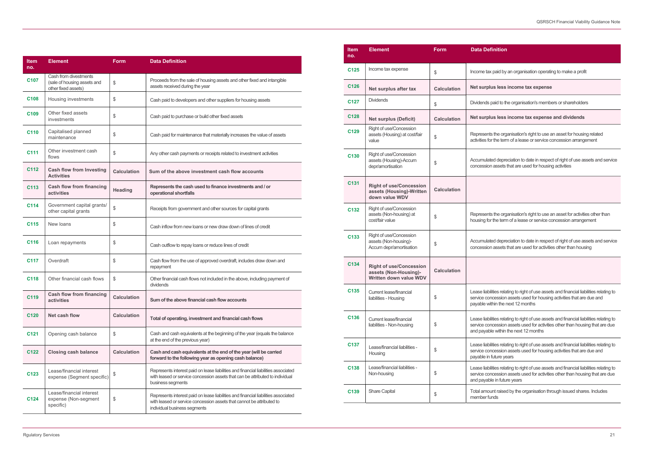### **finition**

#### lus less income tax expense

#### **Price Sena Exet surplus in Sena Sena Sena** Surplus less income tax expense and dividends

ated depreciation to date in respect of right of use assets and service on assets that are used for housing activities

hts the organisation's right to use an asset for activities other than or the term of a lease or service concession arrangement

ated depreciation to date in respect of right of use assets and service on assets that are used for activities other than housing

ilities relating to right of use assets and financial liabilities relating to oncession assets used for housing activities that are due and vithin the next 12 months

bilities relating to right of use assets and financial liabilities relating to oncession assets used for activities other than housing that are due ble within the next 12 months

 $\delta$ ilities relating to right of use assets and financial liabilities relating to ncession assets used for housing activities that are due and n future years

ilities relating to right of use assets and financial liabilities relating to ncession assets used for activities other than housing that are due ble in future years

| <b>Item</b><br>no. | <b>Element</b>                                                              | <b>Form</b>        | <b>Data Definition</b>                                                                                                                                                                      |
|--------------------|-----------------------------------------------------------------------------|--------------------|---------------------------------------------------------------------------------------------------------------------------------------------------------------------------------------------|
| C <sub>107</sub>   | Cash from divestments<br>(sale of housing assets and<br>other fixed assets) | \$                 | Proceeds from the sale of housing assets and other fixed and intangible<br>assets received during the year                                                                                  |
| C <sub>108</sub>   | Housing investments                                                         | \$                 | Cash paid to developers and other suppliers for housing assets                                                                                                                              |
| C <sub>109</sub>   | Other fixed assets<br>investments                                           | \$                 | Cash paid to purchase or build other fixed assets                                                                                                                                           |
| C110               | Capitalised planned<br>maintenance                                          | \$                 | Cash paid for maintenance that materially increases the value of assets                                                                                                                     |
| C <sub>111</sub>   | Other investment cash<br>flows                                              | \$                 | Any other cash payments or receipts related to investment activities                                                                                                                        |
| C112               | <b>Cash flow from Investing</b><br><b>Activities</b>                        | <b>Calculation</b> | Sum of the above investment cash flow accounts                                                                                                                                              |
| C113               | Cash flow from financing<br>activities                                      | <b>Heading</b>     | Represents the cash used to finance investments and / or<br>operational shortfalls                                                                                                          |
| C114               | Government capital grants/<br>other capital grants                          | \$                 | Receipts from government and other sources for capital grants                                                                                                                               |
| C115               | New loans                                                                   | \$                 | Cash inflow from new loans or new draw down of lines of credit                                                                                                                              |
| C <sub>116</sub>   | Loan repayments                                                             | \$                 | Cash outflow to repay loans or reduce lines of credit                                                                                                                                       |
| C <sub>117</sub>   | Overdraft                                                                   | \$                 | Cash flow from the use of approved overdraft, includes draw down and<br>repayment                                                                                                           |
| C <sub>118</sub>   | Other financial cash flows                                                  | \$                 | Other financial cash flows not included in the above, including payment of<br>dividends                                                                                                     |
| C119               | <b>Cash flow from financing</b><br>activities                               | <b>Calculation</b> | Sum of the above financial cash flow accounts                                                                                                                                               |
| C <sub>120</sub>   | Net cash flow                                                               | <b>Calculation</b> | Total of operating, investment and financial cash flows                                                                                                                                     |
| C <sub>121</sub>   | Opening cash balance                                                        | \$                 | Cash and cash equivalents at the beginning of the year (equals the balance<br>at the end of the previous year)                                                                              |
| C122               | <b>Closing cash balance</b>                                                 | <b>Calculation</b> | Cash and cash equivalents at the end of the year (will be carried<br>forward to the following year as opening cash balance)                                                                 |
| C123               | Lease/financial interest<br>expense (Segment specific)                      | \$                 | Represents interest paid on lease liabilities and financial liabilities associated<br>with leased or service concession assets that can be attributed to individual<br>business segments    |
| C124               | Lease/financial interest<br>expense (Non-segment<br>specific)               | \$                 | Represents interest paid on lease liabilities and financial liabilities associated<br>with leased or service concession assets that cannot be attributed to<br>individual business segments |

| <b>Item</b><br>no. | <b>Element</b>                                                                    | <b>Form</b>        | <b>Data Definition</b>                                                                                                                                                                                |  |
|--------------------|-----------------------------------------------------------------------------------|--------------------|-------------------------------------------------------------------------------------------------------------------------------------------------------------------------------------------------------|--|
| C <sub>125</sub>   | Income tax expense                                                                | \$                 | Income tax paid by an organisation operating to make a profit                                                                                                                                         |  |
| C126               | Net surplus after tax                                                             | <b>Calculation</b> | Net surplus less income tax expense                                                                                                                                                                   |  |
| C <sub>127</sub>   | <b>Dividends</b>                                                                  | \$                 | Dividends paid to the organisation's members or shareholders                                                                                                                                          |  |
| C128               | <b>Net surplus (Deficit)</b>                                                      | <b>Calculation</b> | Net surplus less income tax expense and dividends                                                                                                                                                     |  |
| C <sub>129</sub>   | Right of use/Concession<br>assets (Housing) at cost/fair<br>value                 | \$                 | Represents the organisation's right to use an asset for housing related<br>activities for the term of a lease or service concession arrangement                                                       |  |
| C <sub>130</sub>   | Right of use/Concession<br>assets (Housing)-Accum<br>depr/amortisation            | \$                 | Accumulated depreciation to date in respect of right of use assets and :<br>concession assets that are used for housing activities                                                                    |  |
| C <sub>131</sub>   | <b>Right of use/Concession</b><br>assets (Housing)-Written<br>down value WDV      | <b>Calculation</b> |                                                                                                                                                                                                       |  |
| C132               | Right of use/Concession<br>assets (Non-housing) at<br>cost/fair value             | \$                 | Represents the organisation's right to use an asset for activities other th<br>housing for the term of a lease or service concession arrangement                                                      |  |
| C <sub>133</sub>   | Right of use/Concession<br>assets (Non-housing)-<br>Accum depr/amortisation       | \$                 | Accumulated depreciation to date in respect of right of use assets and a<br>concession assets that are used for activities other than housing                                                         |  |
| C134               | <b>Right of use/Concession</b><br>assets (Non-Housing)-<br>Written down value WDV | <b>Calculation</b> |                                                                                                                                                                                                       |  |
| C135               | <b>Current lease/financial</b><br>liabilities - Housing                           | \$                 | Lease liabilities relating to right of use assets and financial liabilities rela<br>service concession assets used for housing activities that are due and<br>payable within the next 12 months       |  |
| C136               | <b>Current lease/financial</b><br>liabilities - Non-housing                       | \$                 | Lease liabilities relating to right of use assets and financial liabilities rela<br>service concession assets used for activities other than housing that ar<br>and payable within the next 12 months |  |
| C <sub>137</sub>   | Lease/financial liabilities -<br>Housing                                          | \$                 | Lease liabilities relating to right of use assets and financial liabilities rela<br>service concession assets used for housing activities that are due and<br>payable in future years                 |  |
| C138               | Lease/financial liabilities -<br>Non-housing                                      | \$                 | Lease liabilities relating to right of use assets and financial liabilities rela<br>service concession assets used for activities other than housing that an<br>and payable in future years           |  |
| C139               | <b>Share Capital</b>                                                              | \$                 | Total amount raised by the organisation through issued shares. Include<br>member funds                                                                                                                |  |
|                    |                                                                                   |                    |                                                                                                                                                                                                       |  |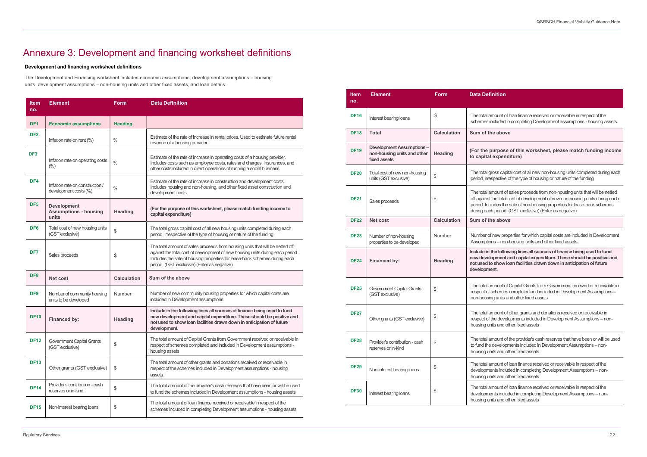mount of loan finance received or receivable in respect of the ncluded in completing Development assumptions - housing assets

#### ne above

ourpose of this worksheet, please match funding income expenditure)

ross capital cost of all new non-housing units completed during each spective of the type of housing or nature of the funding

mount of sales proceeds from non-housing units that will be netted the total cost of development of new non-housing units during each ludes the sale of non-housing properties for lease-back schemes h period. (GST exclusive) (Enter as negative)

#### ne above

Inew properties for which capital costs are included in Development ns – non-housing units and other fixed assets

the following lines all sources of finance being used to fund opment and capital expenditure. These should be positive and o show loan facilities drawn down in anticipation of future ent.

mount of Capital Grants from Government received or receivable in schemes completed and included in Development Assumptions – ng units and other fixed assets

Other grants (GST exclusive)  $\begin{pmatrix} \frac{1}{3} & \frac{1}{3} & \frac{1}{3} \\ \frac{1}{3} & \frac{1}{3} & \frac{1}{3} \\ \frac{1}{3} & \frac{1}{3} & \frac{1}{3} \end{pmatrix}$  respect of the developments included in Development Assumptions – nonhits and other fixed assets

> mount of the provider's cash reserves that have been or will be used developments included in Development Assumptions – nonhits and other fixed assets

mount of loan finance received or receivable in respect of the ents included in completing Development Assumptions – nonhits and other fixed assets

mount of loan finance received or receivable in respect of the ents included in completing Development Assumptions – nonhits and other fixed assets

## Annexure 3: Development and financing worksheet definitions

#### Development and financing worksheet definitions

The Development and Financing worksheet includes economic assumptions, development assumptions – housing units, development assumptions – non-housing units and other fixed assets, and loan details.

| ltem<br>no.     | <b>Element</b>                                              | <b>Form</b>        | <b>Data Definition</b>                                                                                                                                                                                                                                                                       |
|-----------------|-------------------------------------------------------------|--------------------|----------------------------------------------------------------------------------------------------------------------------------------------------------------------------------------------------------------------------------------------------------------------------------------------|
| DF <sub>1</sub> | <b>Economic assumptions</b>                                 | <b>Heading</b>     |                                                                                                                                                                                                                                                                                              |
| DF <sub>2</sub> | Inflation rate on rent (%)                                  | $\%$               | Estimate of the rate of increase in rental prices. Used to estimate future rental<br>revenue of a housing provider                                                                                                                                                                           |
| DF <sub>3</sub> | Inflation rate on operating costs<br>(% )                   | $\frac{0}{0}$      | Estimate of the rate of increase in operating costs of a housing provider.<br>Includes costs such as employee costs, rates and charges, insurances, and<br>other costs included in direct operations of running a social business                                                            |
| DF4             | Inflation rate on construction /<br>development costs (%)   | $\frac{0}{0}$      | Estimate of the rate of increase in construction and development costs.<br>Includes housing and non-housing, and other fixed asset construction and<br>development costs                                                                                                                     |
| DF <sub>5</sub> | <b>Development</b><br><b>Assumptions - housing</b><br>units | <b>Heading</b>     | (For the purpose of this worksheet, please match funding income to<br>capital expenditure)                                                                                                                                                                                                   |
| DF <sub>6</sub> | Total cost of new housing units<br>(GST exclusive)          | \$                 | The total gross capital cost of all new housing units completed during each<br>period, irrespective of the type of housing or nature of the funding                                                                                                                                          |
| DF <sub>7</sub> | Sales proceeds                                              | \$                 | The total amount of sales proceeds from housing units that will be netted off<br>against the total cost of development of new housing units during each period.<br>Includes the sale of housing properties for lease-back schemes during each<br>period. (GST exclusive) (Enter as negative) |
| DF <sub>8</sub> | <b>Net cost</b>                                             | <b>Calculation</b> | Sum of the above                                                                                                                                                                                                                                                                             |
| DF <sub>9</sub> | Number of community housing<br>units to be developed        | Number             | Number of new community housing properties for which capital costs are<br>included in Development assumptions                                                                                                                                                                                |
| <b>DF10</b>     | Financed by:                                                | <b>Heading</b>     | Include in the following lines all sources of finance being used to fund<br>new development and capital expenditure. These should be positive and<br>not used to show loan facilities drawn down in anticipation of future<br>development.                                                   |
| <b>DF12</b>     | <b>Government Capital Grants</b><br>(GST exclusive)         | \$                 | The total amount of Capital Grants from Government received or receivable in<br>respect of schemes completed and included in Development assumptions -<br>housing assets                                                                                                                     |
| <b>DF13</b>     | Other grants (GST exclusive)                                | \$                 | The total amount of other grants and donations received or receivable in<br>respect of the schemes included in Development assumptions - housing<br>assets                                                                                                                                   |
| <b>DF14</b>     | Provider's contribution - cash<br>reserves or in-kind       | \$                 | The total amount of the provider's cash reserves that have been or will be used<br>to fund the schemes included in Development assumptions - housing assets                                                                                                                                  |
| <b>DF15</b>     | Non-interest bearing loans                                  | \$                 | The total amount of loan finance received or receivable in respect of the<br>schemes included in completing Development assumptions - housing assets                                                                                                                                         |

| <b>Item</b><br>no. | <b>Element</b>                                                                 | <b>Form</b>        | <b>Data Definition</b>                                                                      |
|--------------------|--------------------------------------------------------------------------------|--------------------|---------------------------------------------------------------------------------------------|
| <b>DF16</b>        | Interest bearing loans                                                         | \$                 | The total amount of<br>schemes included i                                                   |
| <b>DF18</b>        | <b>Total</b>                                                                   | <b>Calculation</b> | Sum of the abov                                                                             |
| <b>DF19</b>        | <b>Development Assumptions-</b><br>non-housing units and other<br>fixed assets | <b>Heading</b>     | (For the purpose<br>to capital expen                                                        |
| <b>DF20</b>        | Total cost of new non-housing<br>units (GST exclusive)                         | \$                 | The total gross cap<br>period, irrespective                                                 |
| <b>DF21</b>        | Sales proceeds                                                                 | \$                 | The total amount of<br>off against the total<br>period. Includes the<br>during each period. |
| <b>DF22</b>        | <b>Net cost</b>                                                                | <b>Calculation</b> | Sum of the abov                                                                             |
| <b>DF23</b>        | Number of non-housing<br>properties to be developed                            | Number             | Number of new pro<br>Assumptions - non                                                      |
| <b>DF24</b>        | <b>Financed by:</b>                                                            | <b>Heading</b>     | Include in the follo<br>new development<br>not used to show I<br>development.               |
| <b>DF25</b>        | <b>Government Capital Grants</b><br>(GST exclusive)                            | \$                 | The total amount of<br>respect of schemes<br>non-housing units a                            |
| <b>DF27</b>        | Other grants (GST exclusive)                                                   | \$                 | The total amount of<br>respect of the deve<br>housing units and c                           |
| <b>DF28</b>        | Provider's contribution - cash<br>reserves or in-kind                          | \$                 | The total amount of<br>to fund the develop<br>housing units and c                           |
| <b>DF29</b>        | Non-interest bearing loans                                                     | \$                 | The total amount of<br>developments inclu<br>housing units and c                            |
| <b>DF30</b>        | Interest bearing loans                                                         | \$                 | The total amount of<br>developments inclu<br>housing units and c                            |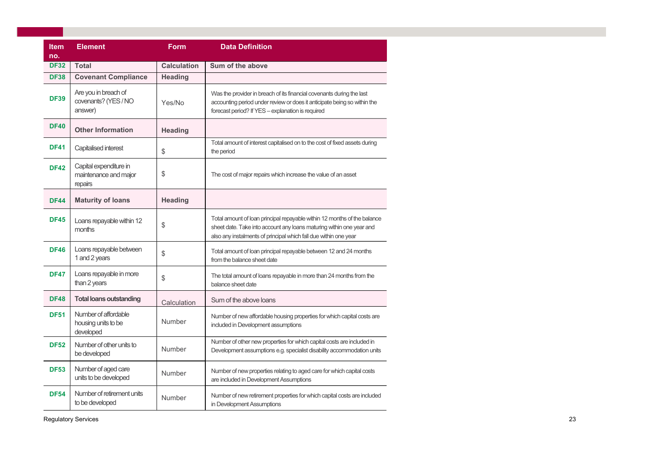| <b>Item</b><br>no. | <b>Element</b>                                             | <b>Form</b>        | <b>Data Definition</b>                                                                                                                                                                                               |
|--------------------|------------------------------------------------------------|--------------------|----------------------------------------------------------------------------------------------------------------------------------------------------------------------------------------------------------------------|
| <b>DF32</b>        | <b>Total</b>                                               | <b>Calculation</b> | Sum of the above                                                                                                                                                                                                     |
| <b>DF38</b>        | <b>Covenant Compliance</b>                                 | <b>Heading</b>     |                                                                                                                                                                                                                      |
| <b>DF39</b>        | Are you in breach of<br>covenants? (YES / NO<br>answer)    | Yes/No             | Was the provider in breach of its financial covenants during the last<br>accounting period under review or does it anticipate being so within the<br>forecast period? If YES - explanation is required               |
| <b>DF40</b>        | <b>Other Information</b>                                   | <b>Heading</b>     |                                                                                                                                                                                                                      |
| <b>DF41</b>        | Capitalised interest                                       | \$                 | Total amount of interest capitalised on to the cost of fixed assets during<br>the period                                                                                                                             |
| <b>DF42</b>        | Capital expenditure in<br>maintenance and major<br>repairs | \$                 | The cost of major repairs which increase the value of an asset                                                                                                                                                       |
| <b>DF44</b>        | <b>Maturity of loans</b>                                   | <b>Heading</b>     |                                                                                                                                                                                                                      |
| <b>DF45</b>        | Loans repayable within 12<br>months                        | \$                 | Total amount of loan principal repayable within 12 months of the balance<br>sheet date. Take into account any loans maturing within one year and<br>also any instalments of principal which fall due within one year |
| <b>DF46</b>        | Loans repayable between<br>1 and 2 years                   | \$                 | Total amount of loan principal repayable between 12 and 24 months<br>from the balance sheet date                                                                                                                     |
| <b>DF47</b>        | Loans repayable in more<br>than 2 years                    | \$                 | The total amount of loans repayable in more than 24 months from the<br>balance sheet date                                                                                                                            |
| <b>DF48</b>        | <b>Total loans outstanding</b>                             | Calculation        | Sum of the above loans                                                                                                                                                                                               |
| <b>DF51</b>        | Number of affordable<br>housing units to be<br>developed   | Number             | Number of new affordable housing properties for which capital costs are<br>included in Development assumptions                                                                                                       |
| <b>DF52</b>        | Number of other units to<br>be developed                   | Number             | Number of other new properties for which capital costs are included in<br>Development assumptions e.g. specialist disability accommodation units                                                                     |
| <b>DF53</b>        | Number of aged care<br>units to be developed               | Number             | Number of new properties relating to aged care for which capital costs<br>are included in Development Assumptions                                                                                                    |
| <b>DF54</b>        | Number of retirement units<br>to be developed              | Number             | Number of new retirement properties for which capital costs are included<br>in Development Assumptions                                                                                                               |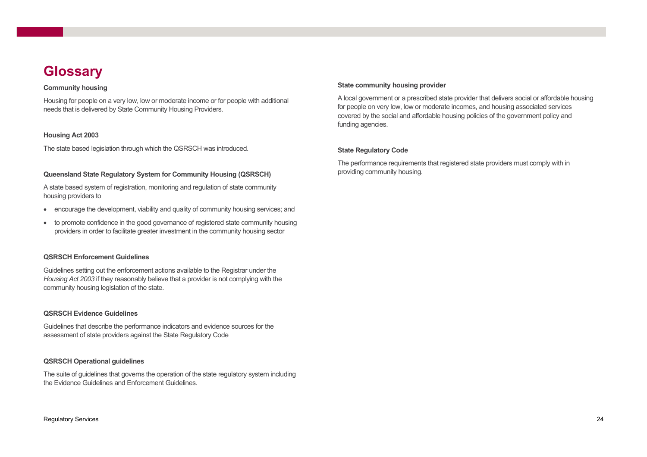### **Glossary**

#### Community housing

Housing for people on a very low, low or moderate income or for people with additional needs that is delivered by State Community Housing Providers.

#### Housing Act 2003

The state based legislation through which the QSRSCH was introduced.

#### Queensland State Regulatory System for Community Housing (QSRSCH)

A state based system of registration, monitoring and regulation of state community housing providers to

- encourage the development, viability and quality of community housing services; and
- to promote confidence in the good governance of registered state community housing providers in order to facilitate greater investment in the community housing sector

#### QSRSCH Enforcement Guidelines

Guidelines setting out the enforcement actions available to the Registrar under the Housing Act 2003 if they reasonably believe that a provider is not complying with the community housing legislation of the state.

#### QSRSCH Evidence Guidelines

Guidelines that describe the performance indicators and evidence sources for the assessment of state providers against the State Regulatory Code

#### QSRSCH Operational guidelines

The suite of guidelines that governs the operation of the state regulatory system including the Evidence Guidelines and Enforcement Guidelines.

#### State community housing provider

A local government or a prescribed state provider that delivers social or affordable housing for people on very low, low or moderate incomes, and housing associated services covered by the social and affordable housing policies of the government policy and funding agencies.

#### State Regulatory Code

The performance requirements that registered state providers must comply with in providing community housing.